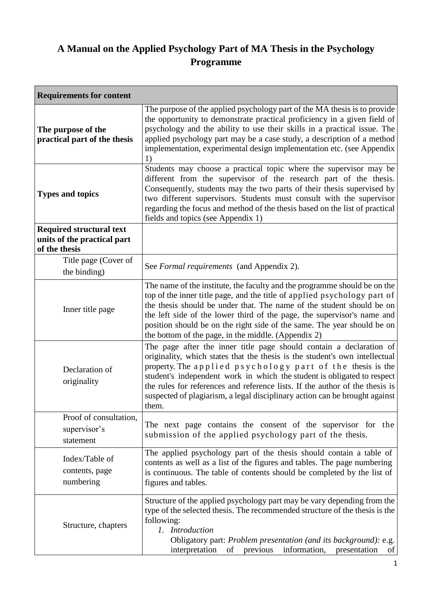# **A Manual on the Applied Psychology Part of MA Thesis in the Psychology Programme**

| <b>Requirements for content</b>                                                 |                                                                                                                                                                                                                                                                                                                                                                                                                                                                     |
|---------------------------------------------------------------------------------|---------------------------------------------------------------------------------------------------------------------------------------------------------------------------------------------------------------------------------------------------------------------------------------------------------------------------------------------------------------------------------------------------------------------------------------------------------------------|
| The purpose of the<br>practical part of the thesis                              | The purpose of the applied psychology part of the MA thesis is to provide<br>the opportunity to demonstrate practical proficiency in a given field of<br>psychology and the ability to use their skills in a practical issue. The<br>applied psychology part may be a case study, a description of a method<br>implementation, experimental design implementation etc. (see Appendix<br>1)                                                                          |
| <b>Types and topics</b>                                                         | Students may choose a practical topic where the supervisor may be<br>different from the supervisor of the research part of the thesis.<br>Consequently, students may the two parts of their thesis supervised by<br>two different supervisors. Students must consult with the supervisor<br>regarding the focus and method of the thesis based on the list of practical<br>fields and topics (see Appendix 1)                                                       |
| <b>Required structural text</b><br>units of the practical part<br>of the thesis |                                                                                                                                                                                                                                                                                                                                                                                                                                                                     |
| Title page (Cover of<br>the binding)                                            | See Formal requirements (and Appendix 2).                                                                                                                                                                                                                                                                                                                                                                                                                           |
| Inner title page                                                                | The name of the institute, the faculty and the programme should be on the<br>top of the inner title page, and the title of applied psychology part of<br>the thesis should be under that. The name of the student should be on<br>the left side of the lower third of the page, the supervisor's name and<br>position should be on the right side of the same. The year should be on<br>the bottom of the page, in the middle. (Appendix 2)                         |
| Declaration of<br>originality                                                   | The page after the inner title page should contain a declaration of<br>originality, which states that the thesis is the student's own intellectual<br>property. The applied psychology part of the thesis is the<br>student's independent work in which the student is obligated to respect<br>the rules for references and reference lists. If the author of the thesis is<br>suspected of plagiarism, a legal disciplinary action can be brought against<br>them. |
| Proof of consultation,<br>supervisor's<br>statement                             | The next page contains the consent of the supervisor for the<br>submission of the applied psychology part of the thesis.                                                                                                                                                                                                                                                                                                                                            |
| Index/Table of<br>contents, page<br>numbering                                   | The applied psychology part of the thesis should contain a table of<br>contents as well as a list of the figures and tables. The page numbering<br>is continuous. The table of contents should be completed by the list of<br>figures and tables.                                                                                                                                                                                                                   |
| Structure, chapters                                                             | Structure of the applied psychology part may be vary depending from the<br>type of the selected thesis. The recommended structure of the thesis is the<br>following:<br>1. Introduction<br>Obligatory part: Problem presentation (and its background): e.g.<br>information,<br>interpretation<br>of<br>previous<br>presentation<br>of                                                                                                                               |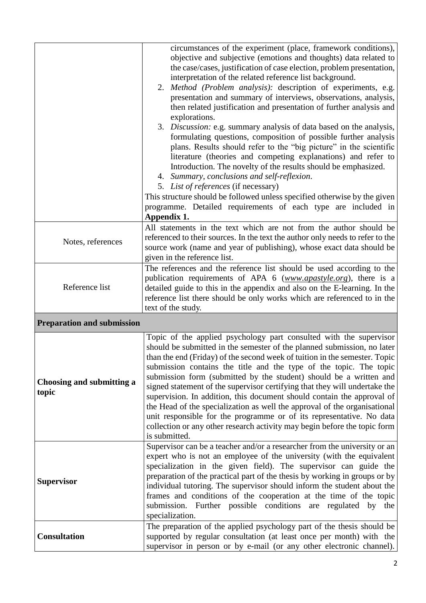|                                    | circumstances of the experiment (place, framework conditions),<br>objective and subjective (emotions and thoughts) data related to<br>the case/cases, justification of case election, problem presentation,<br>interpretation of the related reference list background.<br>2. Method (Problem analysis): description of experiments, e.g.<br>presentation and summary of interviews, observations, analysis,<br>then related justification and presentation of further analysis and<br>explorations.<br>3. Discussion: e.g. summary analysis of data based on the analysis,<br>formulating questions, composition of possible further analysis<br>plans. Results should refer to the "big picture" in the scientific<br>literature (theories and competing explanations) and refer to<br>Introduction. The novelty of the results should be emphasized.<br>4. Summary, conclusions and self-reflexion.<br>5. List of references (if necessary)<br>This structure should be followed unless specified otherwise by the given<br>programme. Detailed requirements of each type are included in<br>Appendix 1. |
|------------------------------------|-------------------------------------------------------------------------------------------------------------------------------------------------------------------------------------------------------------------------------------------------------------------------------------------------------------------------------------------------------------------------------------------------------------------------------------------------------------------------------------------------------------------------------------------------------------------------------------------------------------------------------------------------------------------------------------------------------------------------------------------------------------------------------------------------------------------------------------------------------------------------------------------------------------------------------------------------------------------------------------------------------------------------------------------------------------------------------------------------------------|
| Notes, references                  | All statements in the text which are not from the author should be<br>referenced to their sources. In the text the author only needs to refer to the<br>source work (name and year of publishing), whose exact data should be<br>given in the reference list.                                                                                                                                                                                                                                                                                                                                                                                                                                                                                                                                                                                                                                                                                                                                                                                                                                               |
| Reference list                     | The references and the reference list should be used according to the<br>publication requirements of APA 6 (www.apastyle.org), there is a<br>detailed guide to this in the appendix and also on the E-learning. In the<br>reference list there should be only works which are referenced to in the<br>text of the study.                                                                                                                                                                                                                                                                                                                                                                                                                                                                                                                                                                                                                                                                                                                                                                                    |
| <b>Preparation and submission</b>  |                                                                                                                                                                                                                                                                                                                                                                                                                                                                                                                                                                                                                                                                                                                                                                                                                                                                                                                                                                                                                                                                                                             |
| Choosing and submitting a<br>topic | Topic of the applied psychology part consulted with the supervisor<br>should be submitted in the semester of the planned submission, no later<br>than the end (Friday) of the second week of tuition in the semester. Topic<br>submission contains the title and the type of the topic. The topic<br>submission form (submitted by the student) should be a written and<br>signed statement of the supervisor certifying that they will undertake the<br>supervision. In addition, this document should contain the approval of<br>the Head of the specialization as well the approval of the organisational<br>unit responsible for the programme or of its representative. No data<br>collection or any other research activity may begin before the topic form<br>is submitted.                                                                                                                                                                                                                                                                                                                          |
| <b>Supervisor</b>                  | Supervisor can be a teacher and/or a researcher from the university or an<br>expert who is not an employee of the university (with the equivalent<br>specialization in the given field). The supervisor can guide the<br>preparation of the practical part of the thesis by working in groups or by<br>individual tutoring. The supervisor should inform the student about the<br>frames and conditions of the cooperation at the time of the topic<br>submission. Further possible conditions are regulated by the<br>specialization.<br>The preparation of the applied psychology part of the thesis should be                                                                                                                                                                                                                                                                                                                                                                                                                                                                                            |
| <b>Consultation</b>                | supported by regular consultation (at least once per month) with the<br>supervisor in person or by e-mail (or any other electronic channel).                                                                                                                                                                                                                                                                                                                                                                                                                                                                                                                                                                                                                                                                                                                                                                                                                                                                                                                                                                |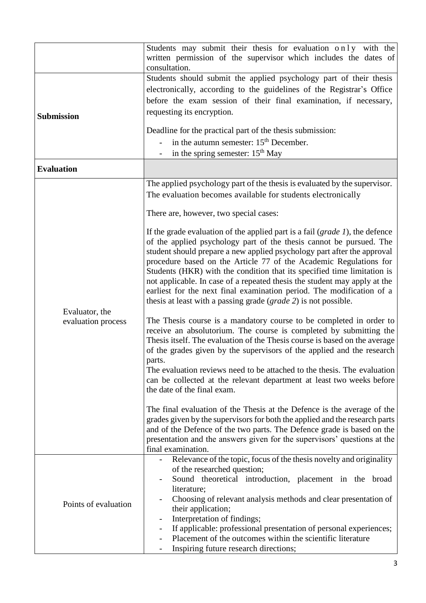|                      | Students may submit their thesis for evaluation only with the<br>written permission of the supervisor which includes the dates of                     |
|----------------------|-------------------------------------------------------------------------------------------------------------------------------------------------------|
|                      | consultation.<br>Students should submit the applied psychology part of their thesis                                                                   |
|                      | electronically, according to the guidelines of the Registrar's Office                                                                                 |
|                      | before the exam session of their final examination, if necessary,                                                                                     |
|                      | requesting its encryption.                                                                                                                            |
| <b>Submission</b>    |                                                                                                                                                       |
|                      | Deadline for the practical part of the thesis submission:                                                                                             |
|                      | in the autumn semester: $15th$ December.                                                                                                              |
|                      | in the spring semester: 15 <sup>th</sup> May                                                                                                          |
| <b>Evaluation</b>    |                                                                                                                                                       |
|                      | The applied psychology part of the thesis is evaluated by the supervisor.                                                                             |
|                      | The evaluation becomes available for students electronically                                                                                          |
|                      | There are, however, two special cases:                                                                                                                |
|                      | If the grade evaluation of the applied part is a fail $(\text{grade } 1)$ , the defence                                                               |
|                      | of the applied psychology part of the thesis cannot be pursued. The                                                                                   |
|                      | student should prepare a new applied psychology part after the approval                                                                               |
|                      | procedure based on the Article 77 of the Academic Regulations for<br>Students (HKR) with the condition that its specified time limitation is          |
|                      | not applicable. In case of a repeated thesis the student may apply at the                                                                             |
|                      | earliest for the next final examination period. The modification of a                                                                                 |
|                      | thesis at least with a passing grade (grade 2) is not possible.                                                                                       |
| Evaluator, the       |                                                                                                                                                       |
| evaluation process   | The Thesis course is a mandatory course to be completed in order to<br>receive an absolutorium. The course is completed by submitting the             |
|                      | Thesis itself. The evaluation of the Thesis course is based on the average                                                                            |
|                      | of the grades given by the supervisors of the applied and the research                                                                                |
|                      | parts.                                                                                                                                                |
|                      | The evaluation reviews need to be attached to the thesis. The evaluation<br>can be collected at the relevant department at least two weeks before     |
|                      | the date of the final exam.                                                                                                                           |
|                      |                                                                                                                                                       |
|                      | The final evaluation of the Thesis at the Defence is the average of the                                                                               |
|                      | grades given by the supervisors for both the applied and the research parts<br>and of the Defence of the two parts. The Defence grade is based on the |
|                      | presentation and the answers given for the supervisors' questions at the                                                                              |
|                      | final examination.                                                                                                                                    |
|                      | Relevance of the topic, focus of the thesis novelty and originality                                                                                   |
|                      | of the researched question;                                                                                                                           |
|                      | Sound theoretical introduction, placement in the broad<br>literature;                                                                                 |
|                      | Choosing of relevant analysis methods and clear presentation of                                                                                       |
| Points of evaluation | their application;                                                                                                                                    |
|                      | Interpretation of findings;                                                                                                                           |
|                      | If applicable: professional presentation of personal experiences;                                                                                     |
|                      | Placement of the outcomes within the scientific literature<br>Inspiring future research directions;<br>$\overline{\phantom{a}}$                       |
|                      |                                                                                                                                                       |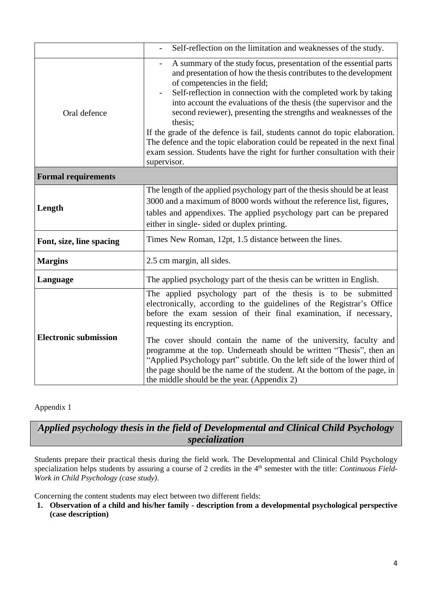|                              | Self-reflection on the limitation and weaknesses of the study.                                                                                                                                                                                                                                                                                                                                                                                                                                                                                                                                                                                         |
|------------------------------|--------------------------------------------------------------------------------------------------------------------------------------------------------------------------------------------------------------------------------------------------------------------------------------------------------------------------------------------------------------------------------------------------------------------------------------------------------------------------------------------------------------------------------------------------------------------------------------------------------------------------------------------------------|
| Oral defence                 | A summary of the study focus, presentation of the essential parts<br>and presentation of how the thesis contributes to the development<br>of competencies in the field;<br>Self-reflection in connection with the completed work by taking<br>into account the evaluations of the thesis (the supervisor and the<br>second reviewer), presenting the strengths and weaknesses of the<br>thesis;<br>If the grade of the defence is fail, students cannot do topic elaboration.<br>The defence and the topic elaboration could be repeated in the next final<br>exam session. Students have the right for further consultation with their<br>supervisor. |
| <b>Formal requirements</b>   |                                                                                                                                                                                                                                                                                                                                                                                                                                                                                                                                                                                                                                                        |
| Length                       | The length of the applied psychology part of the thesis should be at least<br>3000 and a maximum of 8000 words without the reference list, figures,<br>tables and appendixes. The applied psychology part can be prepared<br>either in single- sided or duplex printing.                                                                                                                                                                                                                                                                                                                                                                               |
| Font, size, line spacing     | Times New Roman, 12pt, 1.5 distance between the lines.                                                                                                                                                                                                                                                                                                                                                                                                                                                                                                                                                                                                 |
| <b>Margins</b>               | 2.5 cm margin, all sides.                                                                                                                                                                                                                                                                                                                                                                                                                                                                                                                                                                                                                              |
| Language                     | The applied psychology part of the thesis can be written in English.                                                                                                                                                                                                                                                                                                                                                                                                                                                                                                                                                                                   |
| <b>Electronic submission</b> | The applied psychology part of the thesis is to be submitted<br>electronically, according to the guidelines of the Registrar's Office<br>before the exam session of their final examination, if necessary,<br>requesting its encryption.<br>The cover should contain the name of the university, faculty and<br>programme at the top. Underneath should be written "Thesis", then an<br>"Applied Psychology part" subtitle. On the left side of the lower third of<br>the page should be the name of the student. At the bottom of the page, in<br>the middle should be the year. (Appendix 2)                                                         |

#### Appendix 1

# *Applied psychology thesis in the field of Developmental and Clinical Child Psychology specialization*

Students prepare their practical thesis during the field work. The Developmental and Clinical Child Psychology specialization helps students by assuring a course of 2 credits in the 4<sup>th</sup> semester with the title: *Continuous Field-Work in Child Psychology (case study)*.

Concerning the content students may elect between two different fields:

**1. Observation of a child and his/her family - description from a developmental psychological perspective (case description)**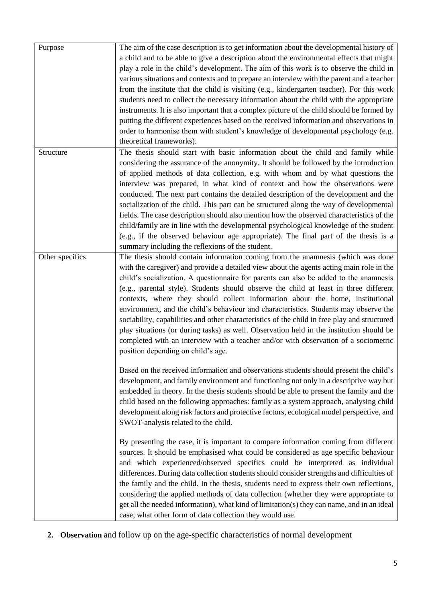| Purpose         | The aim of the case description is to get information about the developmental history of<br>a child and to be able to give a description about the environmental effects that might<br>play a role in the child's development. The aim of this work is to observe the child in<br>various situations and contexts and to prepare an interview with the parent and a teacher<br>from the institute that the child is visiting (e.g., kindergarten teacher). For this work<br>students need to collect the necessary information about the child with the appropriate                                                                                                                                                                                                                                                                                               |
|-----------------|-------------------------------------------------------------------------------------------------------------------------------------------------------------------------------------------------------------------------------------------------------------------------------------------------------------------------------------------------------------------------------------------------------------------------------------------------------------------------------------------------------------------------------------------------------------------------------------------------------------------------------------------------------------------------------------------------------------------------------------------------------------------------------------------------------------------------------------------------------------------|
|                 | instruments. It is also important that a complex picture of the child should be formed by<br>putting the different experiences based on the received information and observations in<br>order to harmonise them with student's knowledge of developmental psychology (e.g.<br>theoretical frameworks).                                                                                                                                                                                                                                                                                                                                                                                                                                                                                                                                                            |
| Structure       | The thesis should start with basic information about the child and family while<br>considering the assurance of the anonymity. It should be followed by the introduction<br>of applied methods of data collection, e.g. with whom and by what questions the<br>interview was prepared, in what kind of context and how the observations were<br>conducted. The next part contains the detailed description of the development and the<br>socialization of the child. This part can be structured along the way of developmental<br>fields. The case description should also mention how the observed characteristics of the<br>child/family are in line with the developmental psychological knowledge of the student<br>(e.g., if the observed behaviour age appropriate). The final part of the thesis is a<br>summary including the reflexions of the student. |
| Other specifics | The thesis should contain information coming from the anamnesis (which was done<br>with the caregiver) and provide a detailed view about the agents acting main role in the<br>child's socialization. A questionnaire for parents can also be added to the anamnesis<br>(e.g., parental style). Students should observe the child at least in three different<br>contexts, where they should collect information about the home, institutional<br>environment, and the child's behaviour and characteristics. Students may observe the<br>sociability, capabilities and other characteristics of the child in free play and structured<br>play situations (or during tasks) as well. Observation held in the institution should be<br>completed with an interview with a teacher and/or with observation of a sociometric<br>position depending on child's age.   |
|                 | Based on the received information and observations students should present the child's<br>development, and family environment and functioning not only in a descriptive way but<br>embedded in theory. In the thesis students should be able to present the family and the<br>child based on the following approaches: family as a system approach, analysing child<br>development along risk factors and protective factors, ecological model perspective, and<br>SWOT-analysis related to the child.                                                                                                                                                                                                                                                                                                                                                            |
|                 | By presenting the case, it is important to compare information coming from different<br>sources. It should be emphasised what could be considered as age specific behaviour<br>and which experienced/observed specifics could be interpreted as individual<br>differences. During data collection students should consider strengths and difficulties of<br>the family and the child. In the thesis, students need to express their own reflections,<br>considering the applied methods of data collection (whether they were appropriate to<br>get all the needed information), what kind of limitation(s) they can name, and in an ideal<br>case, what other form of data collection they would use.                                                                                                                                                            |

**2. Observation** and follow up on the age-specific characteristics of normal development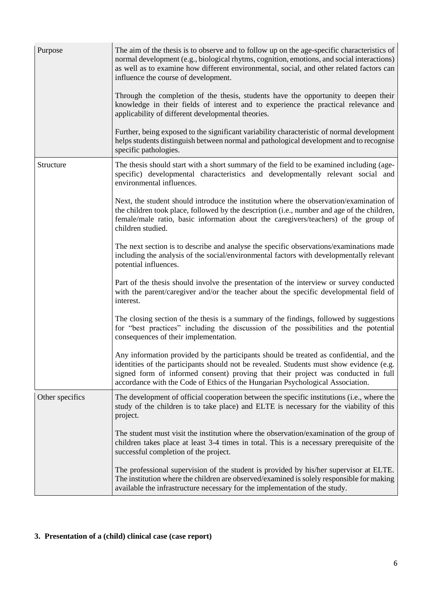| Purpose         | The aim of the thesis is to observe and to follow up on the age-specific characteristics of<br>normal development (e.g., biological rhytms, cognition, emotions, and social interactions)<br>as well as to examine how different environmental, social, and other related factors can<br>influence the course of development.<br>Through the completion of the thesis, students have the opportunity to deepen their<br>knowledge in their fields of interest and to experience the practical relevance and<br>applicability of different developmental theories.<br>Further, being exposed to the significant variability characteristic of normal development<br>helps students distinguish between normal and pathological development and to recognise<br>specific pathologies. |
|-----------------|-------------------------------------------------------------------------------------------------------------------------------------------------------------------------------------------------------------------------------------------------------------------------------------------------------------------------------------------------------------------------------------------------------------------------------------------------------------------------------------------------------------------------------------------------------------------------------------------------------------------------------------------------------------------------------------------------------------------------------------------------------------------------------------|
| Structure       | The thesis should start with a short summary of the field to be examined including (age-<br>specific) developmental characteristics and developmentally relevant social and<br>environmental influences.                                                                                                                                                                                                                                                                                                                                                                                                                                                                                                                                                                            |
|                 | Next, the student should introduce the institution where the observation/examination of<br>the children took place, followed by the description (i.e., number and age of the children,<br>female/male ratio, basic information about the caregivers/teachers) of the group of<br>children studied.                                                                                                                                                                                                                                                                                                                                                                                                                                                                                  |
|                 | The next section is to describe and analyse the specific observations/examinations made<br>including the analysis of the social/environmental factors with developmentally relevant<br>potential influences.                                                                                                                                                                                                                                                                                                                                                                                                                                                                                                                                                                        |
|                 | Part of the thesis should involve the presentation of the interview or survey conducted<br>with the parent/caregiver and/or the teacher about the specific developmental field of<br>interest.                                                                                                                                                                                                                                                                                                                                                                                                                                                                                                                                                                                      |
|                 | The closing section of the thesis is a summary of the findings, followed by suggestions<br>for "best practices" including the discussion of the possibilities and the potential<br>consequences of their implementation.                                                                                                                                                                                                                                                                                                                                                                                                                                                                                                                                                            |
|                 | Any information provided by the participants should be treated as confidential, and the<br>identities of the participants should not be revealed. Students must show evidence (e.g.<br>signed form of informed consent) proving that their project was conducted in full<br>accordance with the Code of Ethics of the Hungarian Psychological Association.                                                                                                                                                                                                                                                                                                                                                                                                                          |
| Other specifics | The development of official cooperation between the specific institutions (i.e., where the<br>study of the children is to take place) and ELTE is necessary for the viability of this<br>project.                                                                                                                                                                                                                                                                                                                                                                                                                                                                                                                                                                                   |
|                 | The student must visit the institution where the observation/examination of the group of<br>children takes place at least 3-4 times in total. This is a necessary prerequisite of the<br>successful completion of the project.                                                                                                                                                                                                                                                                                                                                                                                                                                                                                                                                                      |
|                 | The professional supervision of the student is provided by his/her supervisor at ELTE.<br>The institution where the children are observed/examined is solely responsible for making<br>available the infrastructure necessary for the implementation of the study.                                                                                                                                                                                                                                                                                                                                                                                                                                                                                                                  |

## **3. Presentation of a (child) clinical case (case report)**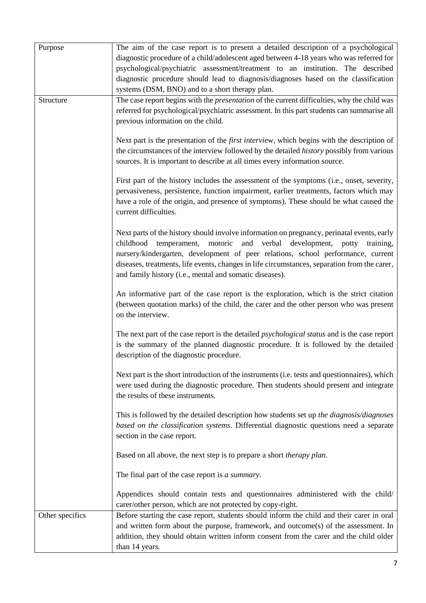| Purpose         | The aim of the case report is to present a detailed description of a psychological<br>diagnostic procedure of a child/adolescent aged between 4-18 years who was referred for                                                                                                                                                                                                                                                |
|-----------------|------------------------------------------------------------------------------------------------------------------------------------------------------------------------------------------------------------------------------------------------------------------------------------------------------------------------------------------------------------------------------------------------------------------------------|
|                 | psychological/psychiatric assessment/treatment to an institution. The described<br>diagnostic procedure should lead to diagnosis/diagnoses based on the classification                                                                                                                                                                                                                                                       |
|                 | systems (DSM, BNO) and to a short therapy plan.                                                                                                                                                                                                                                                                                                                                                                              |
| Structure       | The case report begins with the <i>presentation</i> of the current difficulties, why the child was<br>referred for psychological/psychiatric assessment. In this part students can summarise all<br>previous information on the child.                                                                                                                                                                                       |
|                 | Next part is the presentation of the <i>first interview</i> , which begins with the description of<br>the circumstances of the interview followed by the detailed <i>history</i> possibly from various<br>sources. It is important to describe at all times every information source.                                                                                                                                        |
|                 | First part of the history includes the assessment of the symptoms (i.e., onset, severity,<br>pervasiveness, persistence, function impairment, earlier treatments, factors which may<br>have a role of the origin, and presence of symptoms). These should be what caused the<br>current difficulties.                                                                                                                        |
|                 | Next parts of the history should involve information on pregnancy, perinatal events, early<br>childhood temperament, motoric<br>and verbal development,<br>potty<br>training,<br>nursery/kindergarten, development of peer relations, school performance, current<br>diseases, treatments, life events, changes in life circumstances, separation from the carer,<br>and family history (i.e., mental and somatic diseases). |
|                 | An informative part of the case report is the exploration, which is the strict citation<br>(between quotation marks) of the child, the carer and the other person who was present<br>on the interview.                                                                                                                                                                                                                       |
|                 | The next part of the case report is the detailed <i>psychological status</i> and is the case report<br>is the summary of the planned diagnostic procedure. It is followed by the detailed<br>description of the diagnostic procedure.                                                                                                                                                                                        |
|                 | Next part is the short introduction of the instruments (i.e. tests and questionnaires), which<br>were used during the diagnostic procedure. Then students should present and integrate<br>the results of these instruments.                                                                                                                                                                                                  |
|                 | This is followed by the detailed description how students set up the diagnosis/diagnoses<br>based on the classification systems. Differential diagnostic questions need a separate<br>section in the case report.                                                                                                                                                                                                            |
|                 | Based on all above, the next step is to prepare a short <i>therapy plan</i> .                                                                                                                                                                                                                                                                                                                                                |
|                 | The final part of the case report is a summary.                                                                                                                                                                                                                                                                                                                                                                              |
|                 | Appendices should contain tests and questionnaires administered with the child/<br>carer/other person, which are not protected by copy-right.                                                                                                                                                                                                                                                                                |
| Other specifics | Before starting the case report, students should inform the child and their carer in oral<br>and written form about the purpose, framework, and outcome(s) of the assessment. In<br>addition, they should obtain written inform consent from the carer and the child older<br>than 14 years.                                                                                                                                 |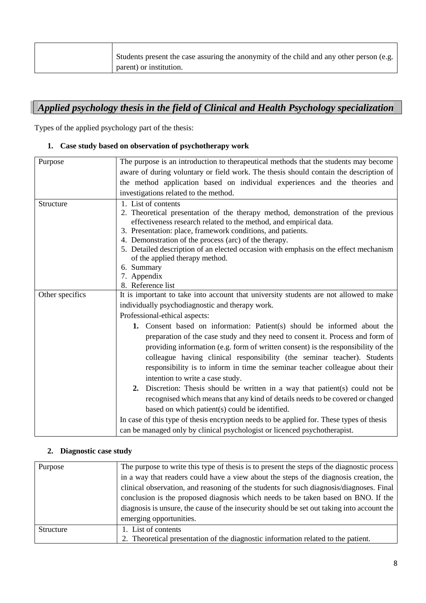| Students present the case assuring the anonymity of the child and any other person (e.g. |
|------------------------------------------------------------------------------------------|
| parent) or institution.                                                                  |

# *Applied psychology thesis in the field of Clinical and Health Psychology specialization*

Types of the applied psychology part of the thesis:

#### **1. Case study based on observation of psychotherapy work**

| Purpose         | The purpose is an introduction to therapeutical methods that the students may become                                                                                                                                                                                                                                                                                                                                                                        |
|-----------------|-------------------------------------------------------------------------------------------------------------------------------------------------------------------------------------------------------------------------------------------------------------------------------------------------------------------------------------------------------------------------------------------------------------------------------------------------------------|
|                 | aware of during voluntary or field work. The thesis should contain the description of                                                                                                                                                                                                                                                                                                                                                                       |
|                 | the method application based on individual experiences and the theories and                                                                                                                                                                                                                                                                                                                                                                                 |
|                 | investigations related to the method.                                                                                                                                                                                                                                                                                                                                                                                                                       |
| Structure       | 1. List of contents<br>2. Theoretical presentation of the therapy method, demonstration of the previous<br>effectiveness research related to the method, and empirical data.<br>3. Presentation: place, framework conditions, and patients.<br>4. Demonstration of the process (arc) of the therapy.<br>5. Detailed description of an elected occasion with emphasis on the effect mechanism<br>of the applied therapy method.<br>6. Summary<br>7. Appendix |
|                 | 8. Reference list                                                                                                                                                                                                                                                                                                                                                                                                                                           |
| Other specifics | It is important to take into account that university students are not allowed to make                                                                                                                                                                                                                                                                                                                                                                       |
|                 | individually psychodiagnostic and therapy work.                                                                                                                                                                                                                                                                                                                                                                                                             |
|                 | Professional-ethical aspects:                                                                                                                                                                                                                                                                                                                                                                                                                               |
|                 | <b>1.</b> Consent based on information: Patient(s) should be informed about the<br>preparation of the case study and they need to consent it. Process and form of<br>providing information (e.g. form of written consent) is the responsibility of the<br>colleague having clinical responsibility (the seminar teacher). Students<br>responsibility is to inform in time the seminar teacher colleague about their<br>intention to write a case study.     |
|                 | 2. Discretion: Thesis should be written in a way that patient(s) could not be                                                                                                                                                                                                                                                                                                                                                                               |
|                 | recognised which means that any kind of details needs to be covered or changed                                                                                                                                                                                                                                                                                                                                                                              |
|                 | based on which patient(s) could be identified.                                                                                                                                                                                                                                                                                                                                                                                                              |
|                 | In case of this type of thesis encryption needs to be applied for. These types of thesis                                                                                                                                                                                                                                                                                                                                                                    |
|                 | can be managed only by clinical psychologist or licenced psychotherapist.                                                                                                                                                                                                                                                                                                                                                                                   |

#### **2. Diagnostic case study**

| Purpose   | The purpose to write this type of thesis is to present the steps of the diagnostic process |
|-----------|--------------------------------------------------------------------------------------------|
|           | in a way that readers could have a view about the steps of the diagnosis creation, the     |
|           | clinical observation, and reasoning of the students for such diagnosis/diagnoses. Final    |
|           | conclusion is the proposed diagnosis which needs to be taken based on BNO. If the          |
|           | diagnosis is unsure, the cause of the insecurity should be set out taking into account the |
|           | emerging opportunities.                                                                    |
| Structure | 1. List of contents                                                                        |
|           | 2. Theoretical presentation of the diagnostic information related to the patient.          |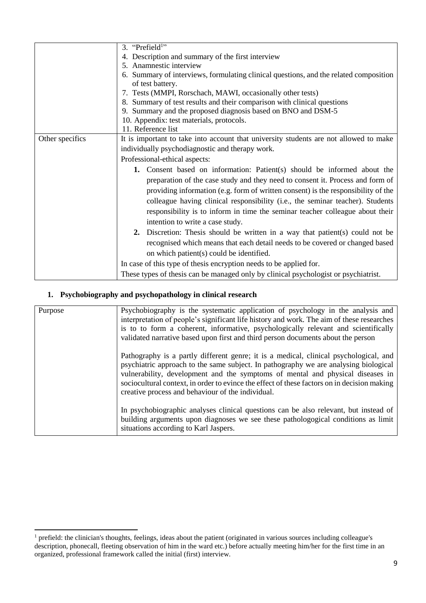|                 | 3. "Prefield <sup>1</sup> "                                                           |
|-----------------|---------------------------------------------------------------------------------------|
|                 | 4. Description and summary of the first interview                                     |
|                 | 5. Anamnestic interview                                                               |
|                 | 6. Summary of interviews, formulating clinical questions, and the related composition |
|                 | of test battery.                                                                      |
|                 | 7. Tests (MMPI, Rorschach, MAWI, occasionally other tests)                            |
|                 | 8. Summary of test results and their comparison with clinical questions               |
|                 | 9. Summary and the proposed diagnosis based on BNO and DSM-5                          |
|                 | 10. Appendix: test materials, protocols.                                              |
|                 | 11. Reference list                                                                    |
| Other specifics | It is important to take into account that university students are not allowed to make |
|                 | individually psychodiagnostic and therapy work.                                       |
|                 | Professional-ethical aspects:                                                         |
|                 | 1. Consent based on information: Patient(s) should be informed about the              |
|                 | preparation of the case study and they need to consent it. Process and form of        |
|                 | providing information (e.g. form of written consent) is the responsibility of the     |
|                 | colleague having clinical responsibility (i.e., the seminar teacher). Students        |
|                 |                                                                                       |
|                 | responsibility is to inform in time the seminar teacher colleague about their         |
|                 | intention to write a case study.                                                      |
|                 | 2. Discretion: Thesis should be written in a way that patient(s) could not be         |
|                 | recognised which means that each detail needs to be covered or changed based          |
|                 | on which patient(s) could be identified.                                              |
|                 | In case of this type of thesis encryption needs to be applied for.                    |
|                 | These types of thesis can be managed only by clinical psychologist or psychiatrist.   |

### **1. Psychobiography and psychopathology in clinical research**

 $\overline{a}$ 

| Purpose | Psychobiography is the systematic application of psychology in the analysis and<br>interpretation of people's significant life history and work. The aim of these researches<br>is to to form a coherent, informative, psychologically relevant and scientifically<br>validated narrative based upon first and third person documents about the person                                                              |
|---------|---------------------------------------------------------------------------------------------------------------------------------------------------------------------------------------------------------------------------------------------------------------------------------------------------------------------------------------------------------------------------------------------------------------------|
|         | Pathography is a partly different genre; it is a medical, clinical psychological, and<br>psychiatric approach to the same subject. In pathography we are analysing biological<br>vulnerability, development and the symptoms of mental and physical diseases in<br>sociocultural context, in order to evince the effect of these factors on in decision making<br>creative process and behaviour of the individual. |
|         | In psychobiographic analyses clinical questions can be also relevant, but instead of<br>building arguments upon diagnoses we see these pathologogical conditions as limit<br>situations according to Karl Jaspers.                                                                                                                                                                                                  |

<sup>&</sup>lt;sup>1</sup> prefield: the clinician's thoughts, feelings, ideas about the patient (originated in various sources including colleague's description, phonecall, fleeting observation of him in the ward etc.) before actually meeting him/her for the first time in an organized, professional framework called the initial (first) interview.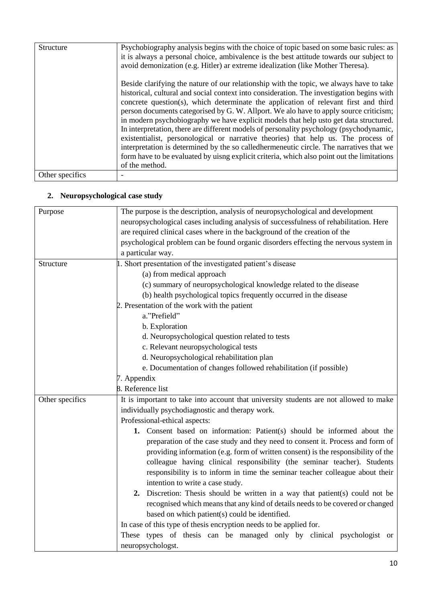| Structure       | Psychobiography analysis begins with the choice of topic based on some basic rules: as<br>it is always a personal choice, ambivalence is the best attitude towards our subject to<br>avoid demonization (e.g. Hitler) ar extreme idealization (like Mother Theresa).                                                                                                                                                                                                                                                                                                                                                                                                                                                                                                                                                                                        |
|-----------------|-------------------------------------------------------------------------------------------------------------------------------------------------------------------------------------------------------------------------------------------------------------------------------------------------------------------------------------------------------------------------------------------------------------------------------------------------------------------------------------------------------------------------------------------------------------------------------------------------------------------------------------------------------------------------------------------------------------------------------------------------------------------------------------------------------------------------------------------------------------|
|                 | Beside clarifying the nature of our relationship with the topic, we always have to take<br>historical, cultural and social context into consideration. The investigation begins with<br>concrete question(s), which determinate the application of relevant first and third<br>person documents categorised by G. W. Allport. We alo have to apply source criticism;<br>in modern psychobiography we have explicit models that help us to get data structured.<br>In interpretation, there are different models of personality psychology (psychodynamic,<br>existentialist, personological or narrative theories) that help us. The process of<br>interpretation is determined by the so called hermeneutic circle. The narratives that we<br>form have to be evaluated by uisng explicit criteria, which also point out the limitations<br>of the method. |
| Other specifics |                                                                                                                                                                                                                                                                                                                                                                                                                                                                                                                                                                                                                                                                                                                                                                                                                                                             |

#### **2. Neuropsychological case study**

| Purpose         | The purpose is the description, analysis of neuropsychological and development        |
|-----------------|---------------------------------------------------------------------------------------|
|                 | neuropsychological cases including analysis of successfulness of rehabilitation. Here |
|                 | are required clinical cases where in the background of the creation of the            |
|                 | psychological problem can be found organic disorders effecting the nervous system in  |
|                 | a particular way.                                                                     |
| Structure       | 1. Short presentation of the investigated patient's disease                           |
|                 | (a) from medical approach                                                             |
|                 | (c) summary of neuropsychological knowledge related to the disease                    |
|                 | (b) health psychological topics frequently occurred in the disease                    |
|                 | 2. Presentation of the work with the patient                                          |
|                 | a."Prefield"                                                                          |
|                 | b. Exploration                                                                        |
|                 | d. Neuropsychological question related to tests                                       |
|                 | c. Relevant neuropsychological tests                                                  |
|                 | d. Neuropsychological rehabilitation plan                                             |
|                 | e. Documentation of changes followed rehabilitation (if possible)                     |
|                 | 7. Appendix                                                                           |
|                 | 8. Reference list                                                                     |
| Other specifics | It is important to take into account that university students are not allowed to make |
|                 | individually psychodiagnostic and therapy work.                                       |
|                 | Professional-ethical aspects:                                                         |
|                 | 1. Consent based on information: Patient(s) should be informed about the              |
|                 | preparation of the case study and they need to consent it. Process and form of        |
|                 | providing information (e.g. form of written consent) is the responsibility of the     |
|                 | colleague having clinical responsibility (the seminar teacher). Students              |
|                 | responsibility is to inform in time the seminar teacher colleague about their         |
|                 | intention to write a case study.                                                      |
|                 | 2. Discretion: Thesis should be written in a way that patient(s) could not be         |
|                 | recognised which means that any kind of details needs to be covered or changed        |
|                 | based on which patient(s) could be identified.                                        |
|                 | In case of this type of thesis encryption needs to be applied for.                    |
|                 | These types of thesis can be managed only by clinical psychologist or                 |
|                 | neuropsychologst.                                                                     |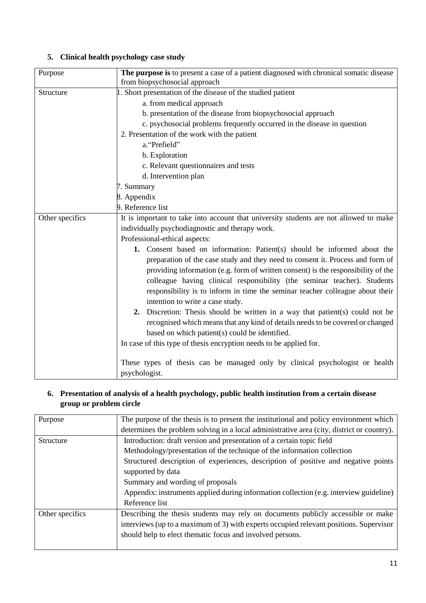## **5. Clinical health psychology case study**

| Purpose         | The purpose is to present a case of a patient diagnosed with chronical somatic disease<br>from biopsychosocial approach |
|-----------------|-------------------------------------------------------------------------------------------------------------------------|
| Structure       | 1. Short presentation of the disease of the studied patient                                                             |
|                 | a. from medical approach                                                                                                |
|                 | b. presentation of the disease from biopsychosocial approach                                                            |
|                 | c. psychosocial problems frequently occurred in the disease in question                                                 |
|                 | 2. Presentation of the work with the patient                                                                            |
|                 | a. "Prefield"                                                                                                           |
|                 |                                                                                                                         |
|                 | b. Exploration                                                                                                          |
|                 | c. Relevant questionnaires and tests                                                                                    |
|                 | d. Intervention plan                                                                                                    |
|                 | 7. Summary                                                                                                              |
|                 | 8. Appendix                                                                                                             |
|                 | 9. Reference list                                                                                                       |
| Other specifics | It is important to take into account that university students are not allowed to make                                   |
|                 | individually psychodiagnostic and therapy work.                                                                         |
|                 | Professional-ethical aspects:                                                                                           |
|                 | 1. Consent based on information: Patient(s) should be informed about the                                                |
|                 | preparation of the case study and they need to consent it. Process and form of                                          |
|                 | providing information (e.g. form of written consent) is the responsibility of the                                       |
|                 | colleague having clinical responsibility (the seminar teacher). Students                                                |
|                 | responsibility is to inform in time the seminar teacher colleague about their                                           |
|                 | intention to write a case study.                                                                                        |
|                 | Discretion: Thesis should be written in a way that patient(s) could not be<br>2.                                        |
|                 | recognised which means that any kind of details needs to be covered or changed                                          |
|                 | based on which patient(s) could be identified.                                                                          |
|                 | In case of this type of thesis encryption needs to be applied for.                                                      |
|                 |                                                                                                                         |
|                 | These types of thesis can be managed only by clinical psychologist or health                                            |
|                 | psychologist.                                                                                                           |
|                 |                                                                                                                         |

### **6. Presentation of analysis of a health psychology, public health institution from a certain disease group or problem circle**

| Purpose         | The purpose of the thesis is to present the institutional and policy environment which     |
|-----------------|--------------------------------------------------------------------------------------------|
|                 | determines the problem solving in a local administrative area (city, district or country). |
| Structure       | Introduction: draft version and presentation of a certain topic field                      |
|                 | Methodology/presentation of the technique of the information collection                    |
|                 | Structured description of experiences, description of positive and negative points         |
|                 | supported by data                                                                          |
|                 | Summary and wording of proposals                                                           |
|                 | Appendix: instruments applied during information collection (e.g. interview guideline)     |
|                 | Reference list                                                                             |
| Other specifics | Describing the thesis students may rely on documents publicly accessible or make           |
|                 | interviews (up to a maximum of 3) with experts occupied relevant positions. Supervisor     |
|                 | should help to elect thematic focus and involved persons.                                  |
|                 |                                                                                            |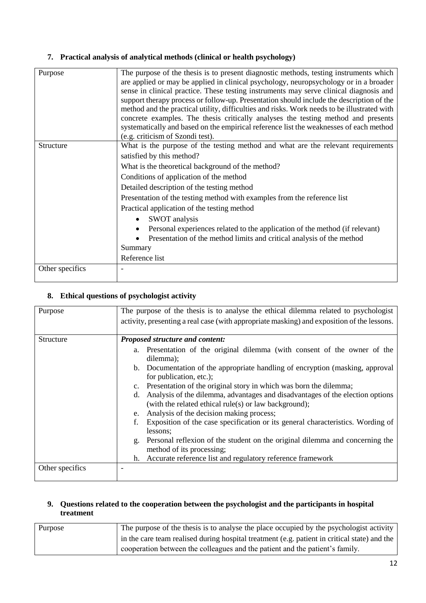#### **7. Practical analysis of analytical methods (clinical or health psychology)**

| Purpose         | The purpose of the thesis is to present diagnostic methods, testing instruments which<br>are applied or may be applied in clinical psychology, neuropsychology or in a broader<br>sense in clinical practice. These testing instruments may serve clinical diagnosis and<br>support therapy process or follow-up. Presentation should include the description of the<br>method and the practical utility, difficulties and risks. Work needs to be illustrated with<br>concrete examples. The thesis critically analyses the testing method and presents<br>systematically and based on the empirical reference list the weaknesses of each method<br>(e.g. criticism of Szondi test). |
|-----------------|----------------------------------------------------------------------------------------------------------------------------------------------------------------------------------------------------------------------------------------------------------------------------------------------------------------------------------------------------------------------------------------------------------------------------------------------------------------------------------------------------------------------------------------------------------------------------------------------------------------------------------------------------------------------------------------|
| Structure       | What is the purpose of the testing method and what are the relevant requirements<br>satisfied by this method?                                                                                                                                                                                                                                                                                                                                                                                                                                                                                                                                                                          |
|                 | What is the theoretical background of the method?                                                                                                                                                                                                                                                                                                                                                                                                                                                                                                                                                                                                                                      |
|                 | Conditions of application of the method                                                                                                                                                                                                                                                                                                                                                                                                                                                                                                                                                                                                                                                |
|                 | Detailed description of the testing method                                                                                                                                                                                                                                                                                                                                                                                                                                                                                                                                                                                                                                             |
|                 | Presentation of the testing method with examples from the reference list                                                                                                                                                                                                                                                                                                                                                                                                                                                                                                                                                                                                               |
|                 | Practical application of the testing method                                                                                                                                                                                                                                                                                                                                                                                                                                                                                                                                                                                                                                            |
|                 | SWOT analysis                                                                                                                                                                                                                                                                                                                                                                                                                                                                                                                                                                                                                                                                          |
|                 | Personal experiences related to the application of the method (if relevant)                                                                                                                                                                                                                                                                                                                                                                                                                                                                                                                                                                                                            |
|                 | Presentation of the method limits and critical analysis of the method                                                                                                                                                                                                                                                                                                                                                                                                                                                                                                                                                                                                                  |
|                 | Summary                                                                                                                                                                                                                                                                                                                                                                                                                                                                                                                                                                                                                                                                                |
|                 | Reference list                                                                                                                                                                                                                                                                                                                                                                                                                                                                                                                                                                                                                                                                         |
| Other specifics |                                                                                                                                                                                                                                                                                                                                                                                                                                                                                                                                                                                                                                                                                        |

#### **8. Ethical questions of psychologist activity**

| Purpose         | The purpose of the thesis is to analyse the ethical dilemma related to psychologist                                                          |
|-----------------|----------------------------------------------------------------------------------------------------------------------------------------------|
|                 | activity, presenting a real case (with appropriate masking) and exposition of the lessons.                                                   |
| Structure       | Proposed structure and content:                                                                                                              |
|                 | a. Presentation of the original dilemma (with consent of the owner of the<br>dilemma);                                                       |
|                 | b. Documentation of the appropriate handling of encryption (masking, approval<br>for publication, etc.);                                     |
|                 | c. Presentation of the original story in which was born the dilemma;                                                                         |
|                 | Analysis of the dilemma, advantages and disadvantages of the election options<br>d.<br>(with the related ethical rule(s) or law background); |
|                 | Analysis of the decision making process;<br>e.                                                                                               |
|                 | Exposition of the case specification or its general characteristics. Wording of<br>lessons:                                                  |
|                 | Personal reflexion of the student on the original dilemma and concerning the<br>g.<br>method of its processing;                              |
|                 | Accurate reference list and regulatory reference framework<br>h.                                                                             |
| Other specifics |                                                                                                                                              |

#### **9. Questions related to the cooperation between the psychologist and the participants in hospital treatment**

| Purpose | The purpose of the thesis is to analyse the place occupied by the psychologist activity      |
|---------|----------------------------------------------------------------------------------------------|
|         | In the care team realised during hospital treatment (e.g. patient in critical state) and the |
|         | cooperation between the colleagues and the patient and the patient's family.                 |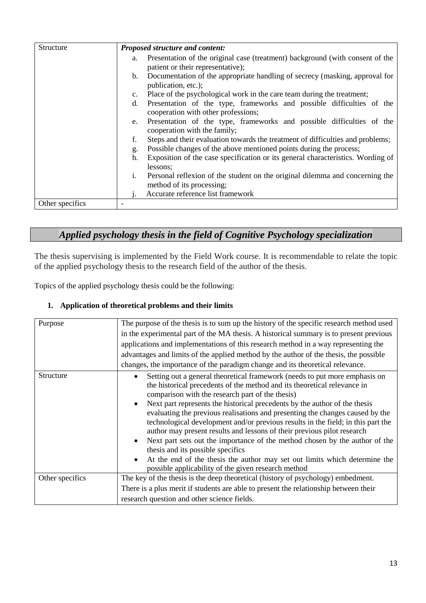| Structure       | <b>Proposed structure and content:</b>                                                                                   |
|-----------------|--------------------------------------------------------------------------------------------------------------------------|
|                 | Presentation of the original case (treatment) background (with consent of the<br>a.<br>patient or their representative); |
|                 | Documentation of the appropriate handling of secrecy (masking, approval for<br>b.<br>publication, etc.);                 |
|                 | Place of the psychological work in the care team during the treatment;<br>$\mathbf{c}$ .                                 |
|                 | Presentation of the type, frameworks and possible difficulties of the<br>d.<br>cooperation with other professions;       |
|                 | Presentation of the type, frameworks and possible difficulties of the<br>e.<br>cooperation with the family;              |
|                 | Steps and their evaluation towards the treatment of difficulties and problems;<br>f.                                     |
|                 | Possible changes of the above mentioned points during the process;<br>g.                                                 |
|                 | Exposition of the case specification or its general characteristics. Wording of<br>h.<br>lessons;                        |
|                 | Personal reflexion of the student on the original dilemma and concerning the<br>i.<br>method of its processing;          |
|                 | Accurate reference list framework                                                                                        |
| Other specifics |                                                                                                                          |

# *Applied psychology thesis in the field of Cognitive Psychology specialization*

The thesis supervising is implemented by the Field Work course. It is recommendable to relate the topic of the applied psychology thesis to the research field of the author of the thesis.

Topics of the applied psychology thesis could be the following:

#### **1. Application of theoretical problems and their limits**

| Purpose         | The purpose of the thesis is to sum up the history of the specific research method used<br>in the experimental part of the MA thesis. A historical summary is to present previous<br>applications and implementations of this research method in a way representing the<br>advantages and limits of the applied method by the author of the thesis, the possible<br>changes, the importance of the paradigm change and its theoretical relevance.                                                                                                                                                                                                                                                                                                                                                   |
|-----------------|-----------------------------------------------------------------------------------------------------------------------------------------------------------------------------------------------------------------------------------------------------------------------------------------------------------------------------------------------------------------------------------------------------------------------------------------------------------------------------------------------------------------------------------------------------------------------------------------------------------------------------------------------------------------------------------------------------------------------------------------------------------------------------------------------------|
| Structure       | Setting out a general theoretical framework (needs to put more emphasis on<br>the historical precedents of the method and its theoretical relevance in<br>comparison with the research part of the thesis)<br>Next part represents the historical precedents by the author of the thesis<br>evaluating the previous realisations and presenting the changes caused by the<br>technological development and/or previous results in the field; in this part the<br>author may present results and lessons of their previous pilot research<br>• Next part sets out the importance of the method chosen by the author of the<br>thesis and its possible specifics<br>At the end of the thesis the author may set out limits which determine the<br>possible applicability of the given research method |
| Other specifics | The key of the thesis is the deep theoretical (history of psychology) embedment.<br>There is a plus merit if students are able to present the relationship between their<br>research question and other science fields.                                                                                                                                                                                                                                                                                                                                                                                                                                                                                                                                                                             |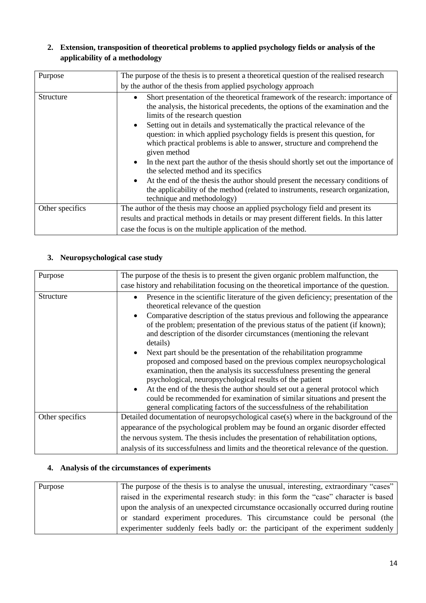#### **2. Extension, transposition of theoretical problems to applied psychology fields or analysis of the applicability of a methodology**

| Purpose         | The purpose of the thesis is to present a theoretical question of the realised research                                                                                                                                                                                                                                                                                                                                                                                                                                                                                                                                                                                                                                                                                                                                                          |
|-----------------|--------------------------------------------------------------------------------------------------------------------------------------------------------------------------------------------------------------------------------------------------------------------------------------------------------------------------------------------------------------------------------------------------------------------------------------------------------------------------------------------------------------------------------------------------------------------------------------------------------------------------------------------------------------------------------------------------------------------------------------------------------------------------------------------------------------------------------------------------|
|                 | by the author of the thesis from applied psychology approach                                                                                                                                                                                                                                                                                                                                                                                                                                                                                                                                                                                                                                                                                                                                                                                     |
| Structure       | Short presentation of the theoretical framework of the research: importance of<br>$\bullet$<br>the analysis, the historical precedents, the options of the examination and the<br>limits of the research question<br>Setting out in details and systematically the practical relevance of the<br>$\bullet$<br>question: in which applied psychology fields is present this question, for<br>which practical problems is able to answer, structure and comprehend the<br>given method<br>In the next part the author of the thesis should shortly set out the importance of<br>$\bullet$<br>the selected method and its specifics<br>At the end of the thesis the author should present the necessary conditions of<br>$\bullet$<br>the applicability of the method (related to instruments, research organization,<br>technique and methodology) |
| Other specifics | The author of the thesis may choose an applied psychology field and present its                                                                                                                                                                                                                                                                                                                                                                                                                                                                                                                                                                                                                                                                                                                                                                  |
|                 | results and practical methods in details or may present different fields. In this latter                                                                                                                                                                                                                                                                                                                                                                                                                                                                                                                                                                                                                                                                                                                                                         |
|                 | case the focus is on the multiple application of the method.                                                                                                                                                                                                                                                                                                                                                                                                                                                                                                                                                                                                                                                                                                                                                                                     |

## **3. Neuropsychological case study**

| Purpose         | The purpose of the thesis is to present the given organic problem malfunction, the                                                                                                                                                                                                                                                                                                                                                                                                                                                                                                                                                                                                                                                                                                                                                                                                                                    |
|-----------------|-----------------------------------------------------------------------------------------------------------------------------------------------------------------------------------------------------------------------------------------------------------------------------------------------------------------------------------------------------------------------------------------------------------------------------------------------------------------------------------------------------------------------------------------------------------------------------------------------------------------------------------------------------------------------------------------------------------------------------------------------------------------------------------------------------------------------------------------------------------------------------------------------------------------------|
|                 | case history and rehabilitation focusing on the theoretical importance of the question.                                                                                                                                                                                                                                                                                                                                                                                                                                                                                                                                                                                                                                                                                                                                                                                                                               |
| Structure       | Presence in the scientific literature of the given deficiency; presentation of the<br>theoretical relevance of the question<br>Comparative description of the status previous and following the appearance<br>of the problem; presentation of the previous status of the patient (if known);<br>and description of the disorder circumstances (mentioning the relevant<br>details)<br>Next part should be the presentation of the rehabilitation programme<br>proposed and composed based on the previous complex neuropsychological<br>examination, then the analysis its successfulness presenting the general<br>psychological, neuropsychological results of the patient<br>At the end of the thesis the author should set out a general protocol which<br>could be recommended for examination of similar situations and present the<br>general complicating factors of the successfulness of the rehabilitation |
| Other specifics | Detailed documentation of neuropsychological case(s) where in the background of the                                                                                                                                                                                                                                                                                                                                                                                                                                                                                                                                                                                                                                                                                                                                                                                                                                   |
|                 | appearance of the psychological problem may be found an organic disorder effected                                                                                                                                                                                                                                                                                                                                                                                                                                                                                                                                                                                                                                                                                                                                                                                                                                     |
|                 |                                                                                                                                                                                                                                                                                                                                                                                                                                                                                                                                                                                                                                                                                                                                                                                                                                                                                                                       |
|                 | the nervous system. The thesis includes the presentation of rehabilitation options,                                                                                                                                                                                                                                                                                                                                                                                                                                                                                                                                                                                                                                                                                                                                                                                                                                   |
|                 | analysis of its successfulness and limits and the theoretical relevance of the question.                                                                                                                                                                                                                                                                                                                                                                                                                                                                                                                                                                                                                                                                                                                                                                                                                              |

### **4. Analysis of the circumstances of experiments**

| Purpose | The purpose of the thesis is to analyse the unusual, interesting, extraordinary "cases" |
|---------|-----------------------------------------------------------------------------------------|
|         | raised in the experimental research study: in this form the "case" character is based   |
|         | upon the analysis of an unexpected circumstance occasionally occurred during routine    |
|         | or standard experiment procedures. This circumstance could be personal (the             |
|         | experimenter suddenly feels badly or: the participant of the experiment suddenly        |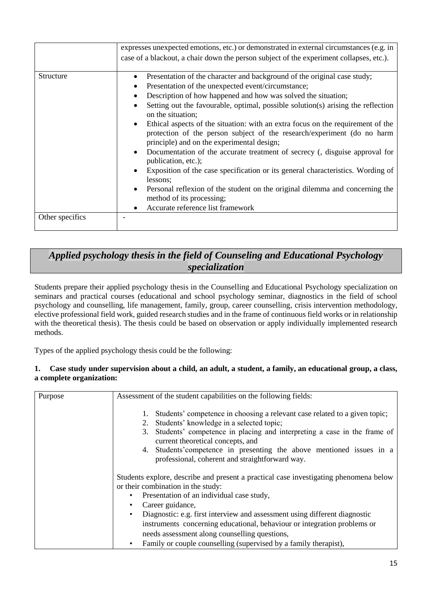|                              | expresses unexpected emotions, etc.) or demonstrated in external circumstances (e.g. in<br>case of a blackout, a chair down the person subject of the experiment collapses, etc.).                                                                                                                                                                                                                                                                                                                                                                                                                                                                                                                                                                                                                                                                                                       |
|------------------------------|------------------------------------------------------------------------------------------------------------------------------------------------------------------------------------------------------------------------------------------------------------------------------------------------------------------------------------------------------------------------------------------------------------------------------------------------------------------------------------------------------------------------------------------------------------------------------------------------------------------------------------------------------------------------------------------------------------------------------------------------------------------------------------------------------------------------------------------------------------------------------------------|
| Structure<br>Other specifics | Presentation of the character and background of the original case study;<br>Presentation of the unexpected event/circumstance;<br>Description of how happened and how was solved the situation;<br>Setting out the favourable, optimal, possible solution(s) arising the reflection<br>on the situation;<br>Ethical aspects of the situation: with an extra focus on the requirement of the<br>$\bullet$<br>protection of the person subject of the research/experiment (do no harm<br>principle) and on the experimental design;<br>Documentation of the accurate treatment of secrecy (, disguise approval for<br>publication, etc.);<br>Exposition of the case specification or its general characteristics. Wording of<br>lessons;<br>Personal reflexion of the student on the original dilemma and concerning the<br>method of its processing;<br>Accurate reference list framework |
|                              |                                                                                                                                                                                                                                                                                                                                                                                                                                                                                                                                                                                                                                                                                                                                                                                                                                                                                          |

# *Applied psychology thesis in the field of Counseling and Educational Psychology specialization*

Students prepare their applied psychology thesis in the Counselling and Educational Psychology specialization on seminars and practical courses (educational and school psychology seminar, diagnostics in the field of school psychology and counselling, life management, family, group, career counselling, crisis intervention methodology, elective professional field work, guided research studies and in the frame of continuous field works or in relationship with the theoretical thesis). The thesis could be based on observation or apply individually implemented research methods.

Types of the applied psychology thesis could be the following:

#### **1. Case study under supervision about a child, an adult, a student, a family, an educational group, a class, a complete organization:**

| Purpose | Assessment of the student capabilities on the following fields:                                                                                                                                                                                                                                                                                                                |
|---------|--------------------------------------------------------------------------------------------------------------------------------------------------------------------------------------------------------------------------------------------------------------------------------------------------------------------------------------------------------------------------------|
|         | Students' competence in choosing a relevant case related to a given topic;<br>Students' knowledge in a selected topic;<br>2.<br>Students' competence in placing and interpreting a case in the frame of<br>3.<br>current theoretical concepts, and<br>4. Students' competence in presenting the above mentioned issues in a<br>professional, coherent and straightforward way. |
|         | Students explore, describe and present a practical case investigating phenomena below<br>or their combination in the study:<br>Presentation of an individual case study,<br>٠                                                                                                                                                                                                  |
|         | Career guidance,                                                                                                                                                                                                                                                                                                                                                               |
|         | Diagnostic: e.g. first interview and assessment using different diagnostic<br>$\bullet$<br>instruments concerning educational, behaviour or integration problems or                                                                                                                                                                                                            |
|         | needs assessment along counselling questions,                                                                                                                                                                                                                                                                                                                                  |
|         | Family or couple counselling (supervised by a family therapist),                                                                                                                                                                                                                                                                                                               |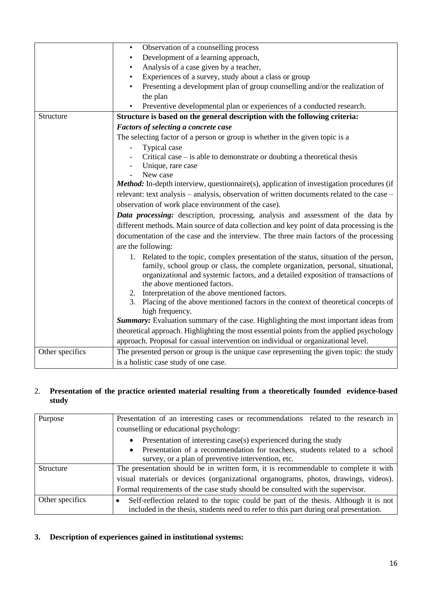|                 | Observation of a counselling process<br>$\bullet$                                                |
|-----------------|--------------------------------------------------------------------------------------------------|
|                 | Development of a learning approach,<br>$\bullet$                                                 |
|                 | Analysis of a case given by a teacher,<br>$\bullet$                                              |
|                 | Experiences of a survey, study about a class or group<br>$\bullet$                               |
|                 | Presenting a development plan of group counselling and/or the realization of                     |
|                 | the plan                                                                                         |
|                 | Preventive developmental plan or experiences of a conducted research.                            |
| Structure       | Structure is based on the general description with the following criteria:                       |
|                 | Factors of selecting a concrete case                                                             |
|                 | The selecting factor of a person or group is whether in the given topic is a                     |
|                 | Typical case                                                                                     |
|                 | Critical case $-$ is able to demonstrate or doubting a theoretical thesis                        |
|                 | Unique, rare case                                                                                |
|                 | New case                                                                                         |
|                 | <b>Method:</b> In-depth interview, questionnaire(s), application of investigation procedures (if |
|                 | relevant: text analysis - analysis, observation of written documents related to the case -       |
|                 | observation of work place environment of the case).                                              |
|                 | Data processing: description, processing, analysis and assessment of the data by                 |
|                 | different methods. Main source of data collection and key point of data processing is the        |
|                 | documentation of the case and the interview. The three main factors of the processing            |
|                 | are the following:                                                                               |
|                 | 1. Related to the topic, complex presentation of the status, situation of the person,            |
|                 | family, school group or class, the complete organization, personal, situational,                 |
|                 | organizational and systemic factors, and a detailed exposition of transactions of                |
|                 | the above mentioned factors.                                                                     |
|                 | 2. Interpretation of the above mentioned factors.                                                |
|                 | 3. Placing of the above mentioned factors in the context of theoretical concepts of              |
|                 | high frequency.                                                                                  |
|                 | Summary: Evaluation summary of the case. Highlighting the most important ideas from              |
|                 | theoretical approach. Highlighting the most essential points from the applied psychology         |
|                 | approach. Proposal for casual intervention on individual or organizational level.                |
| Other specifics | The presented person or group is the unique case representing the given topic: the study         |
|                 | is a holistic case study of one case.                                                            |

#### 2. **Presentation of the practice oriented material resulting from a theoretically founded evidence-based study**

| Purpose         | Presentation of an interesting cases or recommendations related to the research in       |
|-----------------|------------------------------------------------------------------------------------------|
|                 | counselling or educational psychology:                                                   |
|                 | Presentation of interesting case(s) experienced during the study                         |
|                 | Presentation of a recommendation for teachers, students related to a school<br>$\bullet$ |
|                 | survey, or a plan of preventive intervention, etc.                                       |
| Structure       | The presentation should be in written form, it is recommendable to complete it with      |
|                 | visual materials or devices (organizational organograms, photos, drawings, videos).      |
|                 | Formal requirements of the case study should be consulted with the supervisor.           |
| Other specifics | Self-reflection related to the topic could be part of the thesis. Although it is not     |
|                 | included in the thesis, students need to refer to this part during oral presentation.    |

#### **3. Description of experiences gained in institutional systems:**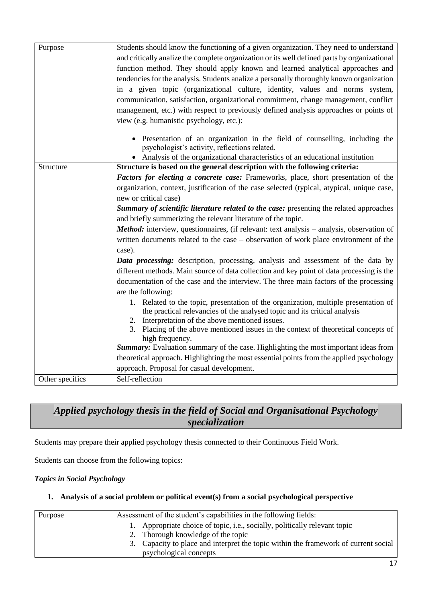| Purpose         | Students should know the functioning of a given organization. They need to understand<br>and critically analize the complete organization or its well defined parts by organizational<br>function method. They should apply known and learned analytical approaches and<br>tendencies for the analysis. Students analize a personally thoroughly known organization<br>in a given topic (organizational culture, identity, values and norms system,<br>communication, satisfaction, organizational commitment, change management, conflict<br>management, etc.) with respect to previously defined analysis approaches or points of<br>view (e.g. humanistic psychology, etc.): |
|-----------------|---------------------------------------------------------------------------------------------------------------------------------------------------------------------------------------------------------------------------------------------------------------------------------------------------------------------------------------------------------------------------------------------------------------------------------------------------------------------------------------------------------------------------------------------------------------------------------------------------------------------------------------------------------------------------------|
|                 | Presentation of an organization in the field of counselling, including the<br>$\bullet$<br>psychologist's activity, reflections related.<br>• Analysis of the organizational characteristics of an educational institution                                                                                                                                                                                                                                                                                                                                                                                                                                                      |
| Structure       | Structure is based on the general description with the following criteria:                                                                                                                                                                                                                                                                                                                                                                                                                                                                                                                                                                                                      |
|                 | Factors for electing a concrete case: Frameworks, place, short presentation of the<br>organization, context, justification of the case selected (typical, atypical, unique case,<br>new or critical case)<br>Summary of scientific literature related to the case: presenting the related approaches                                                                                                                                                                                                                                                                                                                                                                            |
|                 | and briefly summerizing the relevant literature of the topic.                                                                                                                                                                                                                                                                                                                                                                                                                                                                                                                                                                                                                   |
|                 | Method: interview, questionnaires, (if relevant: text analysis - analysis, observation of<br>written documents related to the case – observation of work place environment of the<br>case).                                                                                                                                                                                                                                                                                                                                                                                                                                                                                     |
|                 | <b>Data processing:</b> description, processing, analysis and assessment of the data by<br>different methods. Main source of data collection and key point of data processing is the<br>documentation of the case and the interview. The three main factors of the processing<br>are the following:                                                                                                                                                                                                                                                                                                                                                                             |
|                 | 1. Related to the topic, presentation of the organization, multiple presentation of<br>the practical relevancies of the analysed topic and its critical analysis<br>Interpretation of the above mentioned issues.<br>2.                                                                                                                                                                                                                                                                                                                                                                                                                                                         |
|                 | 3.<br>Placing of the above mentioned issues in the context of theoretical concepts of<br>high frequency.                                                                                                                                                                                                                                                                                                                                                                                                                                                                                                                                                                        |
|                 | Summary: Evaluation summary of the case. Highlighting the most important ideas from                                                                                                                                                                                                                                                                                                                                                                                                                                                                                                                                                                                             |
|                 | theoretical approach. Highlighting the most essential points from the applied psychology<br>approach. Proposal for casual development.                                                                                                                                                                                                                                                                                                                                                                                                                                                                                                                                          |
| Other specifics | Self-reflection                                                                                                                                                                                                                                                                                                                                                                                                                                                                                                                                                                                                                                                                 |
|                 |                                                                                                                                                                                                                                                                                                                                                                                                                                                                                                                                                                                                                                                                                 |

# *Applied psychology thesis in the field of Social and Organisational Psychology specialization*

Students may prepare their applied psychology thesis connected to their Continuous Field Work.

Students can choose from the following topics:

#### *Topics in Social Psychology*

#### **1. Analysis of a social problem or political event(s) from a social psychological perspective**

| Purpose | Assessment of the student's capabilities in the following fields:                   |
|---------|-------------------------------------------------------------------------------------|
|         | 1. Appropriate choice of topic, i.e., socially, politically relevant topic          |
|         | 2. Thorough knowledge of the topic                                                  |
|         | 3. Capacity to place and interpret the topic within the framework of current social |
|         | psychological concepts                                                              |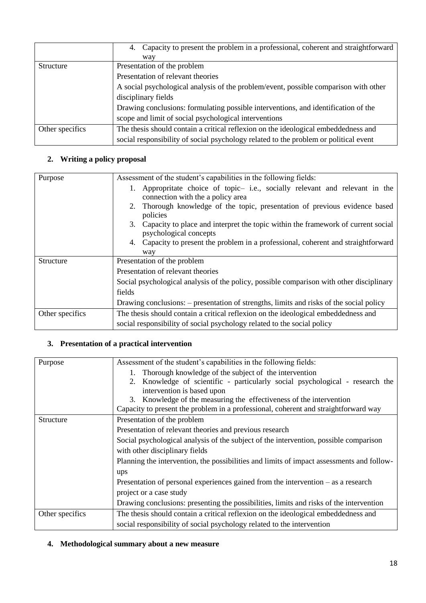|                 | 4. Capacity to present the problem in a professional, coherent and straightforward   |
|-----------------|--------------------------------------------------------------------------------------|
|                 | way                                                                                  |
| Structure       | Presentation of the problem                                                          |
|                 | Presentation of relevant theories                                                    |
|                 | A social psychological analysis of the problem/event, possible comparison with other |
|                 | disciplinary fields                                                                  |
|                 | Drawing conclusions: formulating possible interventions, and identification of the   |
|                 | scope and limit of social psychological interventions                                |
| Other specifics | The thesis should contain a critical reflexion on the ideological embeddedness and   |
|                 | social responsibility of social psychology related to the problem or political event |

### **2. Writing a policy proposal**

| Purpose         | Assessment of the student's capabilities in the following fields:                                              |
|-----------------|----------------------------------------------------------------------------------------------------------------|
|                 | Appropritate choice of topic- i.e., socially relevant and relevant in the<br>connection with the a policy area |
|                 | Thorough knowledge of the topic, presentation of previous evidence based<br>2.<br>policies                     |
|                 | 3. Capacity to place and interpret the topic within the framework of current social<br>psychological concepts  |
|                 | 4. Capacity to present the problem in a professional, coherent and straightforward                             |
|                 | way                                                                                                            |
| Structure       | Presentation of the problem                                                                                    |
|                 | Presentation of relevant theories                                                                              |
|                 | Social psychological analysis of the policy, possible comparison with other disciplinary                       |
|                 | fields                                                                                                         |
|                 | Drawing conclusions: – presentation of strengths, limits and risks of the social policy                        |
| Other specifics | The thesis should contain a critical reflexion on the ideological embeddedness and                             |
|                 | social responsibility of social psychology related to the social policy                                        |

# **3. Presentation of a practical intervention**

| Purpose         | Assessment of the student's capabilities in the following fields:                         |
|-----------------|-------------------------------------------------------------------------------------------|
|                 | 1. Thorough knowledge of the subject of the intervention                                  |
|                 | 2. Knowledge of scientific - particularly social psychological - research the             |
|                 | intervention is based upon                                                                |
|                 | 3. Knowledge of the measuring the effectiveness of the intervention                       |
|                 | Capacity to present the problem in a professional, coherent and straightforward way       |
| Structure       | Presentation of the problem                                                               |
|                 | Presentation of relevant theories and previous research                                   |
|                 | Social psychological analysis of the subject of the intervention, possible comparison     |
|                 | with other disciplinary fields                                                            |
|                 | Planning the intervention, the possibilities and limits of impact assessments and follow- |
|                 | ups                                                                                       |
|                 | Presentation of personal experiences gained from the intervention $-$ as a research       |
|                 | project or a case study                                                                   |
|                 | Drawing conclusions: presenting the possibilities, limits and risks of the intervention   |
| Other specifics | The thesis should contain a critical reflexion on the ideological embeddedness and        |
|                 | social responsibility of social psychology related to the intervention                    |

#### **4. Methodological summary about a new measure**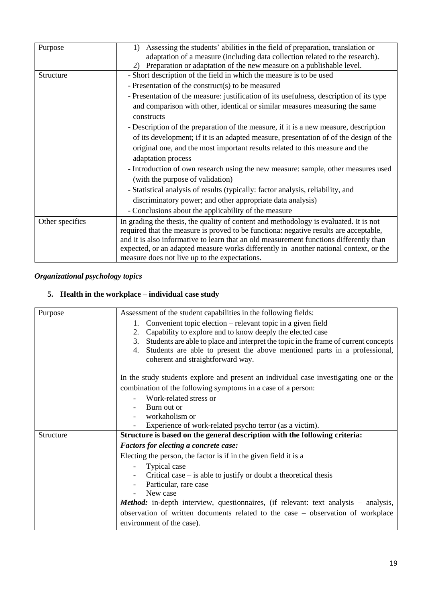| Purpose         | Assessing the students' abilities in the field of preparation, translation or<br>1)<br>adaptation of a measure (including data collection related to the research).<br>Preparation or adaptation of the new measure on a publishable level.<br>2) |
|-----------------|---------------------------------------------------------------------------------------------------------------------------------------------------------------------------------------------------------------------------------------------------|
| Structure       | - Short description of the field in which the measure is to be used                                                                                                                                                                               |
|                 | - Presentation of the construct(s) to be measured                                                                                                                                                                                                 |
|                 | - Presentation of the measure: justification of its usefulness, description of its type                                                                                                                                                           |
|                 | and comparison with other, identical or similar measures measuring the same                                                                                                                                                                       |
|                 | constructs                                                                                                                                                                                                                                        |
|                 | - Description of the preparation of the measure, if it is a new measure, description                                                                                                                                                              |
|                 | of its development; if it is an adapted measure, presentation of of the design of the                                                                                                                                                             |
|                 | original one, and the most important results related to this measure and the                                                                                                                                                                      |
|                 | adaptation process                                                                                                                                                                                                                                |
|                 | - Introduction of own research using the new measure: sample, other measures used                                                                                                                                                                 |
|                 | (with the purpose of validation)                                                                                                                                                                                                                  |
|                 | - Statistical analysis of results (typically: factor analysis, reliability, and                                                                                                                                                                   |
|                 | discriminatory power; and other appropriate data analysis)                                                                                                                                                                                        |
|                 | - Conclusions about the applicability of the measure                                                                                                                                                                                              |
| Other specifics | In grading the thesis, the quality of content and methodology is evaluated. It is not                                                                                                                                                             |
|                 | required that the measure is proved to be functiona: negative results are acceptable,                                                                                                                                                             |
|                 | and it is also informative to learn that an old measurement functions differently than                                                                                                                                                            |
|                 | expected, or an adapted measure works differently in another national context, or the                                                                                                                                                             |
|                 | measure does not live up to the expectations.                                                                                                                                                                                                     |

## *Organizational psychology topics*

#### **5. Health in the workplace – individual case study**

| Assessment of the student capabilities in the following fields:                            |
|--------------------------------------------------------------------------------------------|
| 1. Convenient topic election – relevant topic in a given field                             |
| Capability to explore and to know deeply the elected case<br>2.                            |
| Students are able to place and interpret the topic in the frame of current concepts<br>3.  |
| Students are able to present the above mentioned parts in a professional,<br>4.            |
| coherent and straightforward way.                                                          |
| In the study students explore and present an individual case investigating one or the      |
| combination of the following symptoms in a case of a person:                               |
| Work-related stress or                                                                     |
| Burn out or                                                                                |
| workaholism or                                                                             |
| Experience of work-related psycho terror (as a victim).                                    |
| Structure is based on the general description with the following criteria:                 |
| <b>Factors for electing a concrete case:</b>                                               |
| Electing the person, the factor is if in the given field it is a                           |
| Typical case                                                                               |
| Critical case $-$ is able to justify or doubt a theoretical thesis                         |
| Particular, rare case                                                                      |
| New case                                                                                   |
| <b>Method:</b> in-depth interview, questionnaires, (if relevant: text analysis – analysis, |
| observation of written documents related to the case - observation of workplace            |
| environment of the case).                                                                  |
|                                                                                            |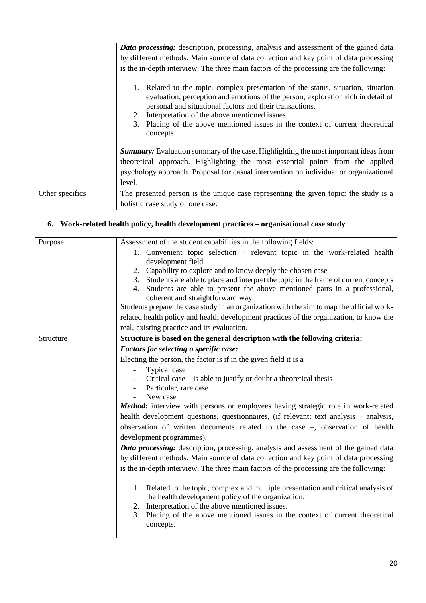|                 | <b>Data processing:</b> description, processing, analysis and assessment of the gained data                                                                                                                                                                                                                                                                                             |
|-----------------|-----------------------------------------------------------------------------------------------------------------------------------------------------------------------------------------------------------------------------------------------------------------------------------------------------------------------------------------------------------------------------------------|
|                 | by different methods. Main source of data collection and key point of data processing                                                                                                                                                                                                                                                                                                   |
|                 | is the in-depth interview. The three main factors of the processing are the following:                                                                                                                                                                                                                                                                                                  |
|                 | 1. Related to the topic, complex presentation of the status, situation, situation<br>evaluation, perception and emotions of the person, exploration rich in detail of<br>personal and situational factors and their transactions.<br>2. Interpretation of the above mentioned issues.<br>Placing of the above mentioned issues in the context of current theoretical<br>3.<br>concepts. |
|                 | <b>Summary:</b> Evaluation summary of the case. Highlighting the most important ideas from<br>theoretical approach. Highlighting the most essential points from the applied                                                                                                                                                                                                             |
|                 | psychology approach. Proposal for casual intervention on individual or organizational                                                                                                                                                                                                                                                                                                   |
|                 | level.                                                                                                                                                                                                                                                                                                                                                                                  |
| Other specifics | The presented person is the unique case representing the given topic: the study is a                                                                                                                                                                                                                                                                                                    |
|                 | holistic case study of one case.                                                                                                                                                                                                                                                                                                                                                        |

## **6. Work-related health policy, health development practices – organisational case study**

| Purpose   | Assessment of the student capabilities in the following fields:                             |
|-----------|---------------------------------------------------------------------------------------------|
|           | 1. Convenient topic selection – relevant topic in the work-related health                   |
|           | development field                                                                           |
|           | 2. Capability to explore and to know deeply the chosen case                                 |
|           | 3. Students are able to place and interpret the topic in the frame of current concepts      |
|           | 4. Students are able to present the above mentioned parts in a professional,                |
|           | coherent and straightforward way.                                                           |
|           | Students prepare the case study in an organization with the aim to map the official work-   |
|           | related health policy and health development practices of the organization, to know the     |
|           | real, existing practice and its evaluation.                                                 |
| Structure | Structure is based on the general description with the following criteria:                  |
|           | Factors for selecting a specific case:                                                      |
|           | Electing the person, the factor is if in the given field it is a                            |
|           | Typical case                                                                                |
|           | Critical case $-$ is able to justify or doubt a theoretical thesis                          |
|           | Particular, rare case                                                                       |
|           | New case<br>$\overline{\phantom{a}}$                                                        |
|           | <b>Method:</b> interview with persons or employees having strategic role in work-related    |
|           | health development questions, questionnaires, (if relevant: text analysis – analysis,       |
|           | observation of written documents related to the case $-$ , observation of health            |
|           | development programmes).                                                                    |
|           | <b>Data processing:</b> description, processing, analysis and assessment of the gained data |
|           | by different methods. Main source of data collection and key point of data processing       |
|           | is the in-depth interview. The three main factors of the processing are the following:      |
|           |                                                                                             |
|           | 1. Related to the topic, complex and multiple presentation and critical analysis of         |
|           | the health development policy of the organization.                                          |
|           | 2. Interpretation of the above mentioned issues.                                            |
|           | 3. Placing of the above mentioned issues in the context of current theoretical              |
|           | concepts.                                                                                   |
|           |                                                                                             |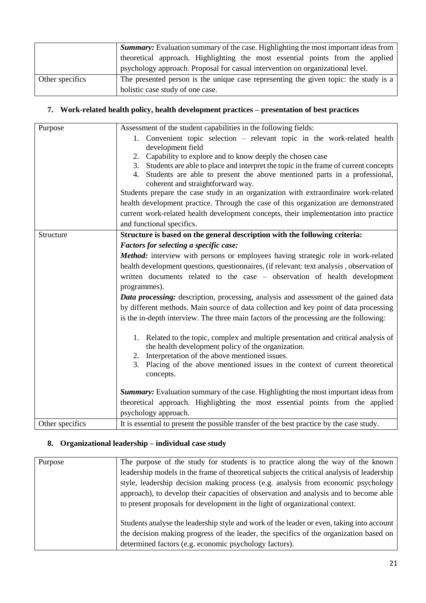|                 | <b>Summary:</b> Evaluation summary of the case. Highlighting the most important ideas from |
|-----------------|--------------------------------------------------------------------------------------------|
|                 | theoretical approach. Highlighting the most essential points from the applied              |
|                 | psychology approach. Proposal for casual intervention on organizational level.             |
| Other specifics | The presented person is the unique case representing the given topic: the study is a       |
|                 | holistic case study of one case.                                                           |

## **7. Work-related health policy, health development practices – presentation of best practices**

| Purpose         | Assessment of the student capabilities in the following fields:                                                          |
|-----------------|--------------------------------------------------------------------------------------------------------------------------|
|                 | 1. Convenient topic selection – relevant topic in the work-related health                                                |
|                 | development field                                                                                                        |
|                 | 2. Capability to explore and to know deeply the chosen case                                                              |
|                 | 3. Students are able to place and interpret the topic in the frame of current concepts                                   |
|                 | 4. Students are able to present the above mentioned parts in a professional,                                             |
|                 | coherent and straightforward way.<br>Students prepare the case study in an organization with extraordinaire work-related |
|                 | health development practice. Through the case of this organization are demonstrated                                      |
|                 |                                                                                                                          |
|                 | current work-related health development concepts, their implementation into practice                                     |
|                 | and functional specifics.                                                                                                |
| Structure       | Structure is based on the general description with the following criteria:                                               |
|                 | Factors for selecting a specific case:                                                                                   |
|                 | <b>Method:</b> interview with persons or employees having strategic role in work-related                                 |
|                 | health development questions, questionnaires, (if relevant: text analysis, observation of                                |
|                 | written documents related to the case – observation of health development                                                |
|                 | programmes).                                                                                                             |
|                 | <b>Data processing:</b> description, processing, analysis and assessment of the gained data                              |
|                 | by different methods. Main source of data collection and key point of data processing                                    |
|                 | is the in-depth interview. The three main factors of the processing are the following:                                   |
|                 |                                                                                                                          |
|                 | 1. Related to the topic, complex and multiple presentation and critical analysis of                                      |
|                 | the health development policy of the organization.                                                                       |
|                 | 2. Interpretation of the above mentioned issues.                                                                         |
|                 | 3. Placing of the above mentioned issues in the context of current theoretical                                           |
|                 | concepts.                                                                                                                |
|                 | <b>Summary:</b> Evaluation summary of the case. Highlighting the most important ideas from                               |
|                 | theoretical approach. Highlighting the most essential points from the applied                                            |
|                 | psychology approach.                                                                                                     |
| Other specifics | It is essential to present the possible transfer of the best practice by the case study.                                 |
|                 |                                                                                                                          |

# **8. Organizational leadership – individual case study**

| Purpose | The purpose of the study for students is to practice along the way of the known                                                                                                                                                               |
|---------|-----------------------------------------------------------------------------------------------------------------------------------------------------------------------------------------------------------------------------------------------|
|         | leadership models in the frame of theoretical subjects the critical analysis of leadership                                                                                                                                                    |
|         | style, leadership decision making process (e.g. analysis from economic psychology                                                                                                                                                             |
|         | approach), to develop their capacities of observation and analysis and to become able                                                                                                                                                         |
|         | to present proposals for development in the light of organizational context.                                                                                                                                                                  |
|         | Students analyse the leadership style and work of the leader or even, taking into account<br>the decision making progress of the leader, the specifics of the organization based on<br>determined factors (e.g. economic psychology factors). |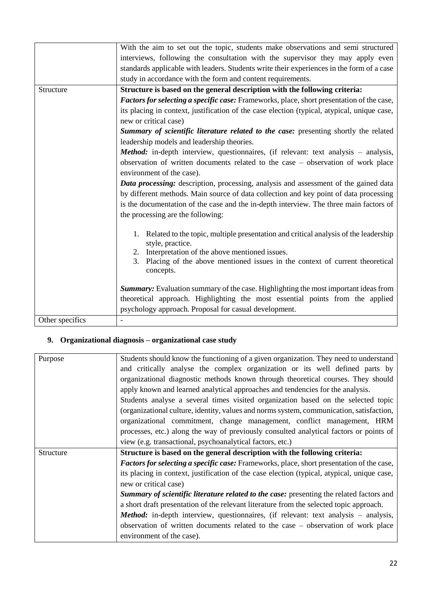|                 | With the aim to set out the topic, students make observations and semi-structured                |
|-----------------|--------------------------------------------------------------------------------------------------|
|                 | interviews, following the consultation with the supervisor they may apply even                   |
|                 | standards applicable with leaders. Students write their experiences in the form of a case        |
|                 | study in accordance with the form and content requirements.                                      |
| Structure       | Structure is based on the general description with the following criteria:                       |
|                 | <b>Factors for selecting a specific case:</b> Frameworks, place, short presentation of the case, |
|                 | its placing in context, justification of the case election (typical, atypical, unique case,      |
|                 | new or critical case)                                                                            |
|                 | Summary of scientific literature related to the case: presenting shortly the related             |
|                 | leadership models and leadership theories.                                                       |
|                 | <b>Method:</b> in-depth interview, questionnaires, (if relevant: text analysis – analysis,       |
|                 | observation of written documents related to the case - observation of work place                 |
|                 | environment of the case).                                                                        |
|                 | <b>Data processing:</b> description, processing, analysis and assessment of the gained data      |
|                 | by different methods. Main source of data collection and key point of data processing            |
|                 | is the documentation of the case and the in-depth interview. The three main factors of           |
|                 | the processing are the following:                                                                |
|                 |                                                                                                  |
|                 | Related to the topic, multiple presentation and critical analysis of the leadership              |
|                 | style, practice.                                                                                 |
|                 | 2. Interpretation of the above mentioned issues.                                                 |
|                 | Placing of the above mentioned issues in the context of current theoretical<br>3.<br>concepts.   |
|                 |                                                                                                  |
|                 | <b>Summary:</b> Evaluation summary of the case. Highlighting the most important ideas from       |
|                 | theoretical approach. Highlighting the most essential points from the applied                    |
|                 | psychology approach. Proposal for casual development.                                            |
| Other specifics |                                                                                                  |
|                 |                                                                                                  |

## **9. Organizational diagnosis – organizational case study**

| Purpose   | Students should know the functioning of a given organization. They need to understand       |
|-----------|---------------------------------------------------------------------------------------------|
|           | and critically analyse the complex organization or its well defined parts by                |
|           | organizational diagnostic methods known through theoretical courses. They should            |
|           | apply known and learned analytical approaches and tendencies for the analysis.              |
|           | Students analyse a several times visited organization based on the selected topic           |
|           | (organizational culture, identity, values and norms system, communication, satisfaction,    |
|           | organizational commitment, change management, conflict management, HRM                      |
|           | processes, etc.) along the way of previously consulted analytical factors or points of      |
|           | view (e.g. transactional, psychoanalytical factors, etc.)                                   |
| Structure | Structure is based on the general description with the following criteria:                  |
|           | Factors for selecting a specific case: Frameworks, place, short presentation of the case,   |
|           | its placing in context, justification of the case election (typical, atypical, unique case, |
|           | new or critical case)                                                                       |
|           | Summary of scientific literature related to the case: presenting the related factors and    |
|           | a short draft presentation of the relevant literature from the selected topic approach.     |
|           | <b>Method:</b> in-depth interview, questionnaires, (if relevant: text analysis – analysis,  |
|           | observation of written documents related to the case – observation of work place            |
|           | environment of the case).                                                                   |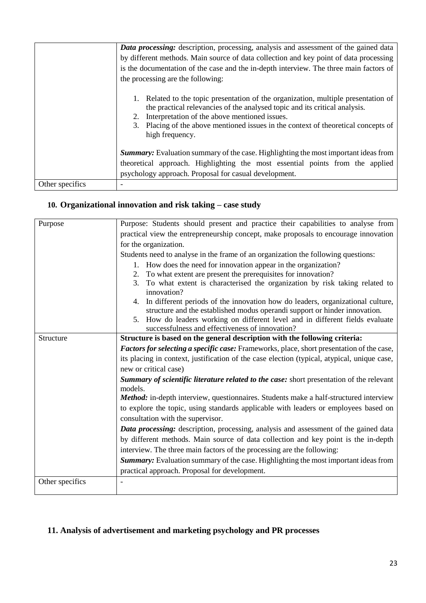|                 | Data processing: description, processing, analysis and assessment of the gained data                                                                                                                                                                                                                                    |
|-----------------|-------------------------------------------------------------------------------------------------------------------------------------------------------------------------------------------------------------------------------------------------------------------------------------------------------------------------|
|                 | by different methods. Main source of data collection and key point of data processing                                                                                                                                                                                                                                   |
|                 | is the documentation of the case and the in-depth interview. The three main factors of                                                                                                                                                                                                                                  |
|                 | the processing are the following:                                                                                                                                                                                                                                                                                       |
|                 | Related to the topic presentation of the organization, multiple presentation of<br>the practical relevancies of the analysed topic and its critical analysis.<br>Interpretation of the above mentioned issues.<br>3. Placing of the above mentioned issues in the context of theoretical concepts of<br>high frequency. |
|                 | <b>Summary:</b> Evaluation summary of the case. Highlighting the most important ideas from                                                                                                                                                                                                                              |
|                 | theoretical approach. Highlighting the most essential points from the applied                                                                                                                                                                                                                                           |
|                 | psychology approach. Proposal for casual development.                                                                                                                                                                                                                                                                   |
| Other specifics |                                                                                                                                                                                                                                                                                                                         |

# **10. Organizational innovation and risk taking – case study**

| Purpose         | Purpose: Students should present and practice their capabilities to analyse from                                                                                   |
|-----------------|--------------------------------------------------------------------------------------------------------------------------------------------------------------------|
|                 | practical view the entrepreneurship concept, make proposals to encourage innovation                                                                                |
|                 | for the organization.                                                                                                                                              |
|                 | Students need to analyse in the frame of an organization the following questions:                                                                                  |
|                 | 1. How does the need for innovation appear in the organization?                                                                                                    |
|                 | To what extent are present the prerequisites for innovation?<br>2.                                                                                                 |
|                 | 3. To what extent is characterised the organization by risk taking related to<br>innovation?                                                                       |
|                 | In different periods of the innovation how do leaders, organizational culture,<br>4.<br>structure and the established modus operandi support or hinder innovation. |
|                 | 5. How do leaders working on different level and in different fields evaluate<br>successfulness and effectiveness of innovation?                                   |
| Structure       | Structure is based on the general description with the following criteria:                                                                                         |
|                 | Factors for selecting a specific case: Frameworks, place, short presentation of the case,                                                                          |
|                 | its placing in context, justification of the case election (typical, atypical, unique case,                                                                        |
|                 | new or critical case)                                                                                                                                              |
|                 | Summary of scientific literature related to the case: short presentation of the relevant<br>models.                                                                |
|                 | <b>Method:</b> in-depth interview, questionnaires. Students make a half-structured interview                                                                       |
|                 | to explore the topic, using standards applicable with leaders or employees based on<br>consultation with the supervisor.                                           |
|                 | <b>Data processing:</b> description, processing, analysis and assessment of the gained data                                                                        |
|                 | by different methods. Main source of data collection and key point is the in-depth                                                                                 |
|                 | interview. The three main factors of the processing are the following:                                                                                             |
|                 | <b>Summary:</b> Evaluation summary of the case. Highlighting the most important ideas from                                                                         |
|                 | practical approach. Proposal for development.                                                                                                                      |
| Other specifics |                                                                                                                                                                    |

# **11. Analysis of advertisement and marketing psychology and PR processes**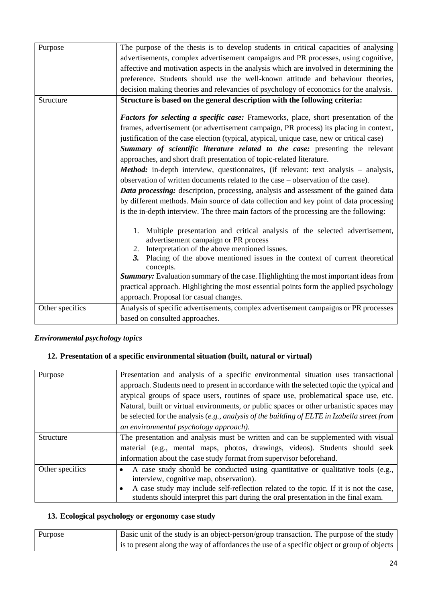| Purpose         | The purpose of the thesis is to develop students in critical capacities of analysing                                  |
|-----------------|-----------------------------------------------------------------------------------------------------------------------|
|                 | advertisements, complex advertisement campaigns and PR processes, using cognitive,                                    |
|                 | affective and motivation aspects in the analysis which are involved in determining the                                |
|                 | preference. Students should use the well-known attitude and behaviour theories,                                       |
|                 | decision making theories and relevancies of psychology of economics for the analysis.                                 |
| Structure       | Structure is based on the general description with the following criteria:                                            |
|                 |                                                                                                                       |
|                 | <b>Factors for selecting a specific case:</b> Frameworks, place, short presentation of the                            |
|                 | frames, advertisement (or advertisement campaign, PR process) its placing in context,                                 |
|                 | justification of the case election (typical, atypical, unique case, new or critical case)                             |
|                 | Summary of scientific literature related to the case: presenting the relevant                                         |
|                 | approaches, and short draft presentation of topic-related literature.                                                 |
|                 | Method: in-depth interview, questionnaires, (if relevant: text analysis - analysis,                                   |
|                 | observation of written documents related to the case – observation of the case).                                      |
|                 | Data processing: description, processing, analysis and assessment of the gained data                                  |
|                 | by different methods. Main source of data collection and key point of data processing                                 |
|                 | is the in-depth interview. The three main factors of the processing are the following:                                |
|                 |                                                                                                                       |
|                 | 1. Multiple presentation and critical analysis of the selected advertisement,<br>advertisement campaign or PR process |
|                 | 2. Interpretation of the above mentioned issues.                                                                      |
|                 | 3. Placing of the above mentioned issues in the context of current theoretical                                        |
|                 | concepts.                                                                                                             |
|                 | Summary: Evaluation summary of the case. Highlighting the most important ideas from                                   |
|                 | practical approach. Highlighting the most essential points form the applied psychology                                |
|                 | approach. Proposal for casual changes.                                                                                |
| Other specifics | Analysis of specific advertisements, complex advertisement campaigns or PR processes                                  |
|                 | based on consulted approaches.                                                                                        |

#### *Environmental psychology topics*

#### **12. Presentation of a specific environmental situation (built, natural or virtual)**

| Purpose         | Presentation and analysis of a specific environmental situation uses transactional           |
|-----------------|----------------------------------------------------------------------------------------------|
|                 | approach. Students need to present in accordance with the selected topic the typical and     |
|                 | atypical groups of space users, routines of space use, problematical space use, etc.         |
|                 | Natural, built or virtual environments, or public spaces or other urbanistic spaces may      |
|                 | be selected for the analysis (e.g., analysis of the building of ELTE in Izabella street from |
|                 | an environmental psychology approach).                                                       |
| Structure       | The presentation and analysis must be written and can be supplemented with visual            |
|                 | material (e.g., mental maps, photos, drawings, videos). Students should seek                 |
|                 | information about the case study format from supervisor beforehand.                          |
| Other specifics | A case study should be conducted using quantitative or qualitative tools (e.g.,              |
|                 | interview, cognitive map, observation).                                                      |
|                 | A case study may include self-reflection related to the topic. If it is not the case,        |
|                 | students should interpret this part during the oral presentation in the final exam.          |

# **13. Ecological psychology or ergonomy case study**

| Purpose | Basic unit of the study is an object-person/group transaction. The purpose of the study     |
|---------|---------------------------------------------------------------------------------------------|
|         | is to present along the way of affordances the use of a specific object or group of objects |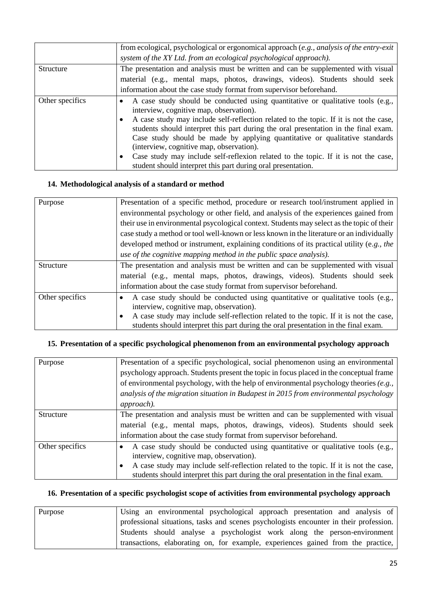|                 | from ecological, psychological or ergonomical approach $(e.g., analysis of the entry exit)$<br>system of the XY Ltd. from an ecological psychological approach).                                                                                                                                                                                                                                                                                                                                                                                                                                         |
|-----------------|----------------------------------------------------------------------------------------------------------------------------------------------------------------------------------------------------------------------------------------------------------------------------------------------------------------------------------------------------------------------------------------------------------------------------------------------------------------------------------------------------------------------------------------------------------------------------------------------------------|
| Structure       | The presentation and analysis must be written and can be supplemented with visual<br>material (e.g., mental maps, photos, drawings, videos). Students should seek<br>information about the case study format from supervisor beforehand.                                                                                                                                                                                                                                                                                                                                                                 |
| Other specifics | A case study should be conducted using quantitative or qualitative tools (e.g.,<br>interview, cognitive map, observation).<br>A case study may include self-reflection related to the topic. If it is not the case,<br>students should interpret this part during the oral presentation in the final exam.<br>Case study should be made by applying quantitative or qualitative standards<br>(interview, cognitive map, observation).<br>Case study may include self-reflexion related to the topic. If it is not the case,<br>$\bullet$<br>student should interpret this part during oral presentation. |

#### **14. Methodological analysis of a standard or method**

| Purpose          | Presentation of a specific method, procedure or research tool/instrument applied in        |
|------------------|--------------------------------------------------------------------------------------------|
|                  | environmental psychology or other field, and analysis of the experiences gained from       |
|                  | their use in environmental psycological context. Students may select as the topic of their |
|                  | case study a method or tool well-known or less known in the literature or an individually  |
|                  | developed method or instrument, explaining conditions of its practical utility (e.g., the  |
|                  | use of the cognitive mapping method in the public space analysis).                         |
| <b>Structure</b> | The presentation and analysis must be written and can be supplemented with visual          |
|                  | material (e.g., mental maps, photos, drawings, videos). Students should seek               |
|                  | information about the case study format from supervisor beforehand.                        |
| Other specifics  | A case study should be conducted using quantitative or qualitative tools (e.g.,            |
|                  | interview, cognitive map, observation).                                                    |
|                  | A case study may include self-reflection related to the topic. If it is not the case,      |
|                  | students should interpret this part during the oral presentation in the final exam.        |

### **15. Presentation of a specific psychological phenomenon from an environmental psychology approach**

| Purpose          | Presentation of a specific psychological, social phenomenon using an environmental                                                                                           |
|------------------|------------------------------------------------------------------------------------------------------------------------------------------------------------------------------|
|                  | psychology approach. Students present the topic in focus placed in the conceptual frame                                                                                      |
|                  | of environmental psychology, with the help of environmental psychology theories $(e.g.,)$                                                                                    |
|                  | analysis of the migration situation in Budapest in 2015 from environmental psychology                                                                                        |
|                  | approach).                                                                                                                                                                   |
| <b>Structure</b> | The presentation and analysis must be written and can be supplemented with visual                                                                                            |
|                  | material (e.g., mental maps, photos, drawings, videos). Students should seek                                                                                                 |
|                  | information about the case study format from supervisor beforehand.                                                                                                          |
| Other specifics  | A case study should be conducted using quantitative or qualitative tools (e.g.,<br>interview, cognitive map, observation).                                                   |
|                  | A case study may include self-reflection related to the topic. If it is not the case,<br>students should interpret this part during the oral presentation in the final exam. |

### **16. Presentation of a specific psychologist scope of activities from environmental psychology approach**

| Purpose | Using an environmental psychological approach presentation and analysis of             |
|---------|----------------------------------------------------------------------------------------|
|         | professional situations, tasks and scenes psychologists encounter in their profession. |
|         | Students should analyse a psychologist work along the person-environment               |
|         | transactions, elaborating on, for example, experiences gained from the practice,       |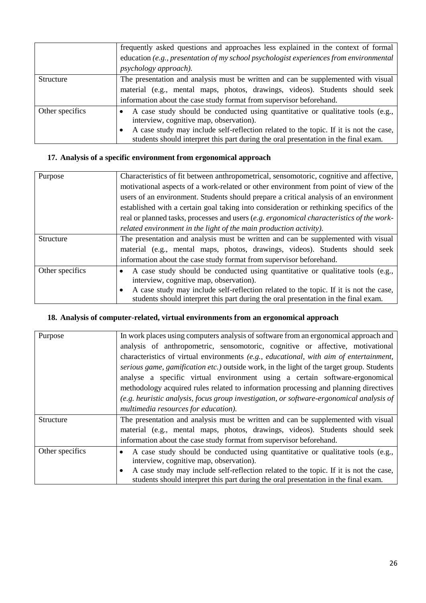|                 | frequently asked questions and approaches less explained in the context of formal                                                                                            |
|-----------------|------------------------------------------------------------------------------------------------------------------------------------------------------------------------------|
|                 | education (e.g., presentation of my school psychologist experiences from environmental                                                                                       |
|                 | <i>psychology approach).</i>                                                                                                                                                 |
| Structure       | The presentation and analysis must be written and can be supplemented with visual                                                                                            |
|                 | material (e.g., mental maps, photos, drawings, videos). Students should seek                                                                                                 |
|                 | information about the case study format from supervisor beforehand.                                                                                                          |
| Other specifics | A case study should be conducted using quantitative or qualitative tools (e.g.,<br>interview, cognitive map, observation).                                                   |
|                 | A case study may include self-reflection related to the topic. If it is not the case,<br>students should interpret this part during the oral presentation in the final exam. |

## **17. Analysis of a specific environment from ergonomical approach**

| Purpose         | Characteristics of fit between anthropometrical, sensomotoric, cognitive and affective,   |
|-----------------|-------------------------------------------------------------------------------------------|
|                 | motivational aspects of a work-related or other environment from point of view of the     |
|                 | users of an environment. Students should prepare a critical analysis of an environment    |
|                 | established with a certain goal taking into consideration or rethinking specifics of the  |
|                 | real or planned tasks, processes and users (e.g. ergonomical characteristics of the work- |
|                 | related environment in the light of the main production activity).                        |
| Structure       | The presentation and analysis must be written and can be supplemented with visual         |
|                 | material (e.g., mental maps, photos, drawings, videos). Students should seek              |
|                 | information about the case study format from supervisor beforehand.                       |
| Other specifics | A case study should be conducted using quantitative or qualitative tools (e.g.,           |
|                 | interview, cognitive map, observation).                                                   |
|                 | A case study may include self-reflection related to the topic. If it is not the case,     |
|                 | students should interpret this part during the oral presentation in the final exam.       |

#### **18. Analysis of computer-related, virtual environments from an ergonomical approach**

| Purpose         | In work places using computers analysis of software from an ergonomical approach and                                                                                         |
|-----------------|------------------------------------------------------------------------------------------------------------------------------------------------------------------------------|
|                 |                                                                                                                                                                              |
|                 | analysis of anthropometric, sensomotoric, cognitive or affective, motivational                                                                                               |
|                 | characteristics of virtual environments $(e.g., educational, with aim of entertainment,$                                                                                     |
|                 | serious game, gamification etc.) outside work, in the light of the target group. Students                                                                                    |
|                 | analyse a specific virtual environment using a certain software-ergonomical                                                                                                  |
|                 | methodology acquired rules related to information processing and planning directives                                                                                         |
|                 | (e.g. heuristic analysis, focus group investigation, or software-ergonomical analysis of                                                                                     |
|                 | multimedia resources for education).                                                                                                                                         |
| Structure       | The presentation and analysis must be written and can be supplemented with visual                                                                                            |
|                 | material (e.g., mental maps, photos, drawings, videos). Students should seek                                                                                                 |
|                 | information about the case study format from supervisor beforehand.                                                                                                          |
| Other specifics | A case study should be conducted using quantitative or qualitative tools (e.g.,<br>interview, cognitive map, observation).                                                   |
|                 | A case study may include self-reflection related to the topic. If it is not the case,<br>students should interpret this part during the oral presentation in the final exam. |
|                 |                                                                                                                                                                              |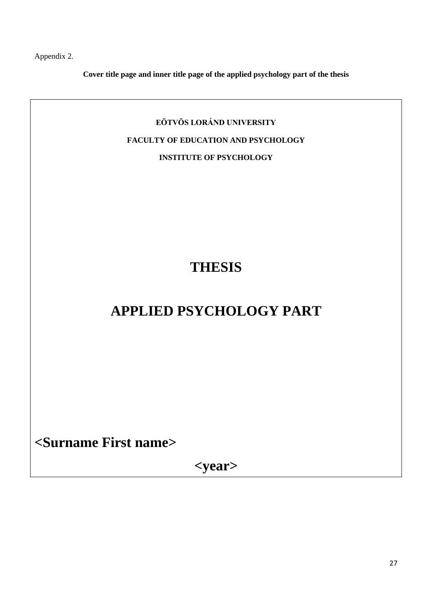Appendix 2.

**Cover title page and inner title page of the applied psychology part of the thesis**

# **EÖTVÖS LORÁND UNIVERSITY FACULTY OF EDUCATION AND PSYCHOLOGY INSTITUTE OF PSYCHOLOGY**

# **THESIS**

# **APPLIED PSYCHOLOGY PART**

**<Surname First name>**

**<year>**